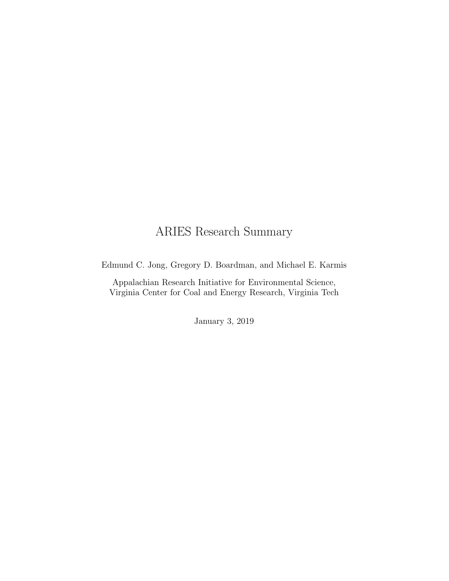# ARIES Research Summary

Edmund C. Jong, Gregory D. Boardman, and Michael E. Karmis

Appalachian Research Initiative for Environmental Science, Virginia Center for Coal and Energy Research, Virginia Tech

January 3, 2019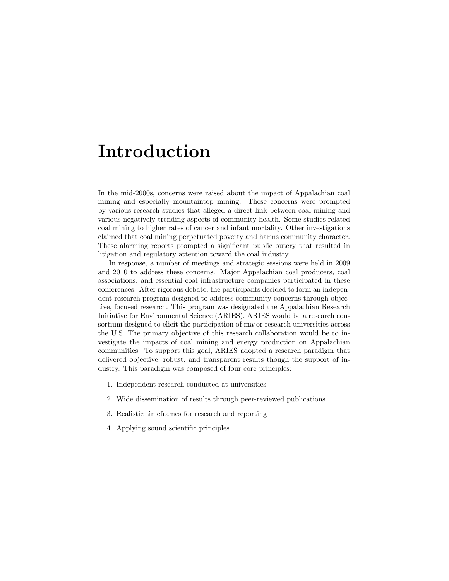# Introduction

In the mid-2000s, concerns were raised about the impact of Appalachian coal mining and especially mountaintop mining. These concerns were prompted by various research studies that alleged a direct link between coal mining and various negatively trending aspects of community health. Some studies related coal mining to higher rates of cancer and infant mortality. Other investigations claimed that coal mining perpetuated poverty and harms community character. These alarming reports prompted a significant public outcry that resulted in litigation and regulatory attention toward the coal industry.

In response, a number of meetings and strategic sessions were held in 2009 and 2010 to address these concerns. Major Appalachian coal producers, coal associations, and essential coal infrastructure companies participated in these conferences. After rigorous debate, the participants decided to form an independent research program designed to address community concerns through objective, focused research. This program was designated the Appalachian Research Initiative for Environmental Science (ARIES). ARIES would be a research consortium designed to elicit the participation of major research universities across the U.S. The primary objective of this research collaboration would be to investigate the impacts of coal mining and energy production on Appalachian communities. To support this goal, ARIES adopted a research paradigm that delivered objective, robust, and transparent results though the support of industry. This paradigm was composed of four core principles:

- 1. Independent research conducted at universities
- 2. Wide dissemination of results through peer-reviewed publications
- 3. Realistic timeframes for research and reporting
- 4. Applying sound scientific principles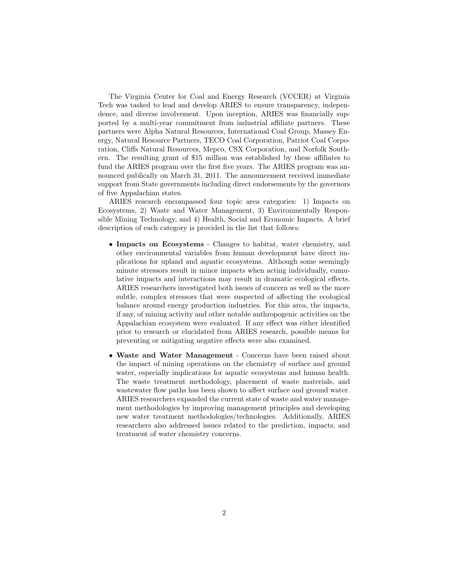The Virginia Center for Coal and Energy Research (VCCER) at Virginia Tech was tasked to lead and develop ARIES to ensure transparency, independence, and diverse involvement. Upon inception, ARIES was financially supported by a multi-year commitment from industrial affiliate partners. These partners were Alpha Natural Resources, International Coal Group, Massey Energy, Natural Resource Partners, TECO Coal Corporation, Patriot Coal Corporation, Cliffs Natural Resources, Mepco, CSX Corporation, and Norfolk Southern. The resulting grant of \$15 million was established by these affiliates to fund the ARIES program over the first five years. The ARIES program was announced publically on March 31, 2011. The announcement received immediate support from State governments including direct endorsements by the governors of five Appalachian states.

ARIES research encompassed four topic area categories: 1) Impacts on Ecosystems, 2) Waste and Water Management, 3) Environmentally Responsible Mining Technology, and 4) Health, Social and Economic Impacts. A brief description of each category is provided in the list that follows:

- Impacts on Ecosystems Changes to habitat, water chemistry, and other environmental variables from human development have direct implications for upland and aquatic ecosystems. Although some seemingly minute stressors result in minor impacts when acting individually, cumulative impacts and interactions may result in dramatic ecological effects. ARIES researchers investigated both issues of concern as well as the more subtle, complex stressors that were suspected of affecting the ecological balance around energy production industries. For this area, the impacts, if any, of mining activity and other notable anthropogenic activities on the Appalachian ecosystem were evaluated. If any effect was either identified prior to research or elucidated from ARIES research, possible means for preventing or mitigating negative effects were also examined.
- Waste and Water Management Concerns have been raised about the impact of mining operations on the chemistry of surface and ground water, especially implications for aquatic ecosystems and human health. The waste treatment methodology, placement of waste materials, and wastewater flow paths has been shown to affect surface and ground water. ARIES researchers expanded the current state of waste and water management methodologies by improving management principles and developing new water treatment methodologies/technologies. Additionally, ARIES researchers also addressed issues related to the prediction, impacts, and treatment of water chemistry concerns.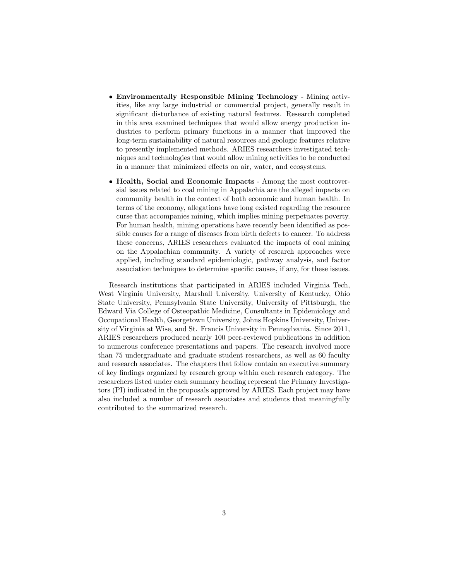- Environmentally Responsible Mining Technology Mining activities, like any large industrial or commercial project, generally result in significant disturbance of existing natural features. Research completed in this area examined techniques that would allow energy production industries to perform primary functions in a manner that improved the long-term sustainability of natural resources and geologic features relative to presently implemented methods. ARIES researchers investigated techniques and technologies that would allow mining activities to be conducted in a manner that minimized effects on air, water, and ecosystems.
- Health, Social and Economic Impacts Among the most controversial issues related to coal mining in Appalachia are the alleged impacts on community health in the context of both economic and human health. In terms of the economy, allegations have long existed regarding the resource curse that accompanies mining, which implies mining perpetuates poverty. For human health, mining operations have recently been identified as possible causes for a range of diseases from birth defects to cancer. To address these concerns, ARIES researchers evaluated the impacts of coal mining on the Appalachian community. A variety of research approaches were applied, including standard epidemiologic, pathway analysis, and factor association techniques to determine specific causes, if any, for these issues.

Research institutions that participated in ARIES included Virginia Tech, West Virginia University, Marshall University, University of Kentucky, Ohio State University, Pennsylvania State University, University of Pittsburgh, the Edward Via College of Osteopathic Medicine, Consultants in Epidemiology and Occupational Health, Georgetown University, Johns Hopkins University, University of Virginia at Wise, and St. Francis University in Pennsylvania. Since 2011, ARIES researchers produced nearly 100 peer-reviewed publications in addition to numerous conference presentations and papers. The research involved more than 75 undergraduate and graduate student researchers, as well as 60 faculty and research associates. The chapters that follow contain an executive summary of key findings organized by research group within each research category. The researchers listed under each summary heading represent the Primary Investigators (PI) indicated in the proposals approved by ARIES. Each project may have also included a number of research associates and students that meaningfully contributed to the summarized research.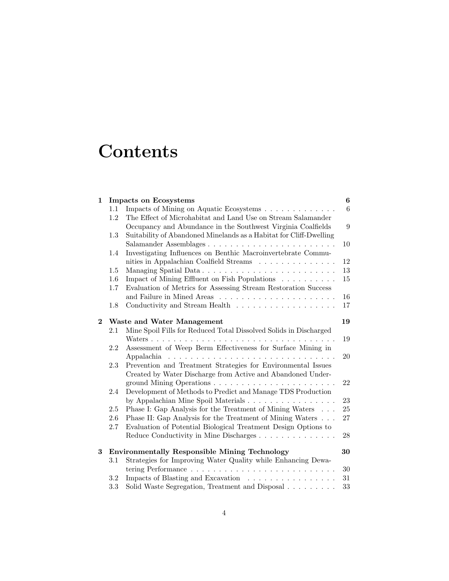# **Contents**

| $\mathbf{1}$ |                                                      | <b>Impacts on Ecosystems</b>                                       | 6              |
|--------------|------------------------------------------------------|--------------------------------------------------------------------|----------------|
|              | 1.1                                                  | Impacts of Mining on Aquatic Ecosystems                            | $\overline{6}$ |
|              | 1.2                                                  | The Effect of Microhabitat and Land Use on Stream Salamander       |                |
|              |                                                      | Occupancy and Abundance in the Southwest Virginia Coalfields       | 9              |
|              | 1.3                                                  | Suitability of Abandoned Minelands as a Habitat for Cliff-Dwelling |                |
|              |                                                      |                                                                    | 10             |
|              | 1.4                                                  | Investigating Influences on Benthic Macroinvertebrate Commu-       |                |
|              |                                                      | nities in Appalachian Coalfield Streams                            | 12             |
|              | 1.5                                                  | Managing Spatial Data                                              | 13             |
|              | 1.6                                                  | Impact of Mining Effluent on Fish Populations                      | 15             |
|              | 1.7                                                  | Evaluation of Metrics for Assessing Stream Restoration Success     |                |
|              |                                                      |                                                                    | 16             |
|              | 1.8                                                  |                                                                    | 17             |
| $\mathbf{2}$ |                                                      | Waste and Water Management                                         | 19             |
|              | 2.1                                                  | Mine Spoil Fills for Reduced Total Dissolved Solids in Discharged  |                |
|              |                                                      |                                                                    | 19             |
|              | 2.2                                                  | Assessment of Weep Berm Effectiveness for Surface Mining in        |                |
|              |                                                      |                                                                    | 20             |
|              | 2.3                                                  | Prevention and Treatment Strategies for Environmental Issues       |                |
|              |                                                      | Created by Water Discharge from Active and Abandoned Under-        |                |
|              |                                                      |                                                                    | 22             |
|              | 2.4                                                  | Development of Methods to Predict and Manage TDS Production        |                |
|              |                                                      | by Appalachian Mine Spoil Materials                                | 23             |
|              | 2.5                                                  | Phase I: Gap Analysis for the Treatment of Mining Waters           | 25             |
|              | 2.6                                                  | Phase II: Gap Analysis for the Treatment of Mining Waters          | 27             |
|              | 2.7                                                  | Evaluation of Potential Biological Treatment Design Options to     |                |
|              |                                                      | Reduce Conductivity in Mine Discharges                             | 28             |
| 3            | <b>Environmentally Responsible Mining Technology</b> |                                                                    |                |
|              | $3.1\,$                                              | Strategies for Improving Water Quality while Enhancing Dewa-       |                |
|              |                                                      |                                                                    | 30             |
|              | 3.2                                                  | Impacts of Blasting and Excavation                                 | 31             |
|              | 3.3                                                  | Solid Waste Segregation, Treatment and Disposal                    | 33             |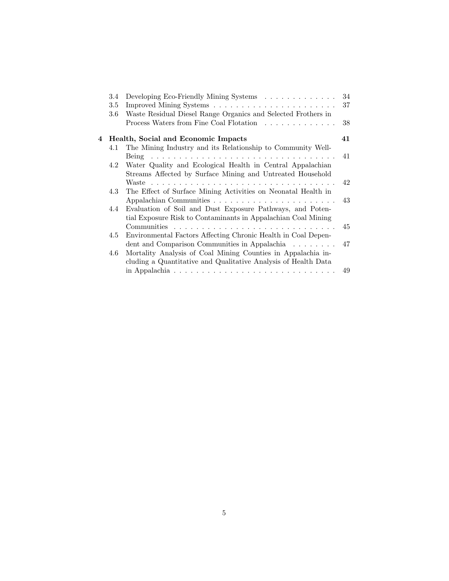|   | 3.4 | Developing Eco-Friendly Mining Systems                                                | 34   |
|---|-----|---------------------------------------------------------------------------------------|------|
|   | 3.5 |                                                                                       | 37   |
|   | 3.6 | Waste Residual Diesel Range Organics and Selected Frothers in                         |      |
|   |     | Process Waters from Fine Coal Flotation                                               | 38   |
| 4 |     | Health, Social and Economic Impacts                                                   | 41   |
|   | 4.1 | The Mining Industry and its Relationship to Community Well-                           |      |
|   |     |                                                                                       | - 41 |
|   | 4.2 | Water Quality and Ecological Health in Central Appalachian                            |      |
|   |     | Streams Affected by Surface Mining and Untreated Household                            |      |
|   |     |                                                                                       | 42   |
|   | 4.3 | The Effect of Surface Mining Activities on Neonatal Health in                         |      |
|   |     |                                                                                       |      |
|   | 4.4 | Evaluation of Soil and Dust Exposure Pathways, and Poten-                             |      |
|   |     | tial Exposure Risk to Contaminants in Appalachian Coal Mining                         |      |
|   |     |                                                                                       | 45   |
|   | 4.5 | Environmental Factors Affecting Chronic Health in Coal Depen-                         |      |
|   |     | dent and Comparison Communities in Appalachia $\ldots \ldots$ 17                      |      |
|   | 4.6 | Mortality Analysis of Coal Mining Counties in Appalachia in-                          |      |
|   |     | cluding a Quantitative and Qualitative Analysis of Health Data                        |      |
|   |     | in Appalachia $\ldots \ldots \ldots \ldots \ldots \ldots \ldots \ldots \ldots \ldots$ | 49   |
|   |     |                                                                                       |      |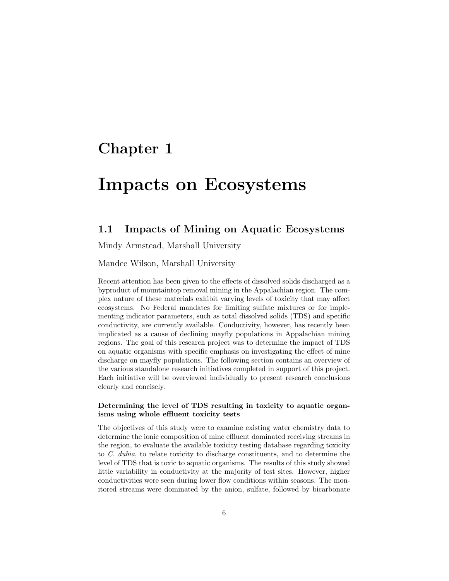# Chapter 1

# Impacts on Ecosystems

#### 1.1 Impacts of Mining on Aquatic Ecosystems

Mindy Armstead, Marshall University

Mandee Wilson, Marshall University

Recent attention has been given to the effects of dissolved solids discharged as a byproduct of mountaintop removal mining in the Appalachian region. The complex nature of these materials exhibit varying levels of toxicity that may affect ecosystems. No Federal mandates for limiting sulfate mixtures or for implementing indicator parameters, such as total dissolved solids (TDS) and specific conductivity, are currently available. Conductivity, however, has recently been implicated as a cause of declining mayfly populations in Appalachian mining regions. The goal of this research project was to determine the impact of TDS on aquatic organisms with specific emphasis on investigating the effect of mine discharge on mayfly populations. The following section contains an overview of the various standalone research initiatives completed in support of this project. Each initiative will be overviewed individually to present research conclusions clearly and concisely.

#### Determining the level of TDS resulting in toxicity to aquatic organisms using whole effluent toxicity tests

The objectives of this study were to examine existing water chemistry data to determine the ionic composition of mine effluent dominated receiving streams in the region, to evaluate the available toxicity testing database regarding toxicity to C. dubia, to relate toxicity to discharge constituents, and to determine the level of TDS that is toxic to aquatic organisms. The results of this study showed little variability in conductivity at the majority of test sites. However, higher conductivities were seen during lower flow conditions within seasons. The monitored streams were dominated by the anion, sulfate, followed by bicarbonate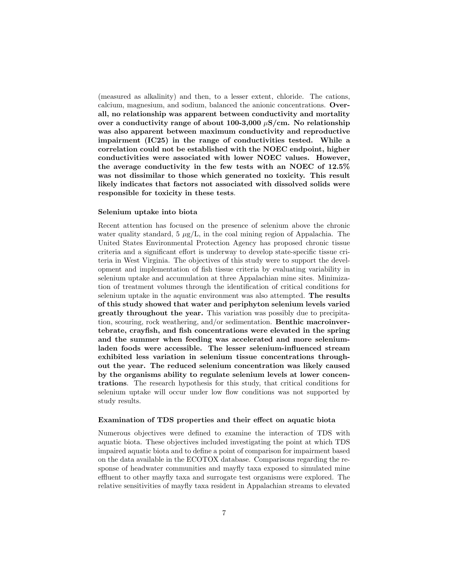(measured as alkalinity) and then, to a lesser extent, chloride. The cations, calcium, magnesium, and sodium, balanced the anionic concentrations. Overall, no relationship was apparent between conductivity and mortality over a conductivity range of about 100-3,000  $\mu$ S/cm. No relationship was also apparent between maximum conductivity and reproductive impairment (IC25) in the range of conductivities tested. While a correlation could not be established with the NOEC endpoint, higher conductivities were associated with lower NOEC values. However, the average conductivity in the few tests with an NOEC of 12.5% was not dissimilar to those which generated no toxicity. This result likely indicates that factors not associated with dissolved solids were responsible for toxicity in these tests.

#### Selenium uptake into biota

Recent attention has focused on the presence of selenium above the chronic water quality standard, 5  $\mu$ g/L, in the coal mining region of Appalachia. The United States Environmental Protection Agency has proposed chronic tissue criteria and a significant effort is underway to develop state-specific tissue criteria in West Virginia. The objectives of this study were to support the development and implementation of fish tissue criteria by evaluating variability in selenium uptake and accumulation at three Appalachian mine sites. Minimization of treatment volumes through the identification of critical conditions for selenium uptake in the aquatic environment was also attempted. The results of this study showed that water and periphyton selenium levels varied greatly throughout the year. This variation was possibly due to precipitation, scouring, rock weathering, and/or sedimentation. Benthic macroinvertebrate, crayfish, and fish concentrations were elevated in the spring and the summer when feeding was accelerated and more seleniumladen foods were accessible. The lesser selenium-influenced stream exhibited less variation in selenium tissue concentrations throughout the year. The reduced selenium concentration was likely caused by the organisms ability to regulate selenium levels at lower concentrations. The research hypothesis for this study, that critical conditions for selenium uptake will occur under low flow conditions was not supported by study results.

#### Examination of TDS properties and their effect on aquatic biota

Numerous objectives were defined to examine the interaction of TDS with aquatic biota. These objectives included investigating the point at which TDS impaired aquatic biota and to define a point of comparison for impairment based on the data available in the ECOTOX database. Comparisons regarding the response of headwater communities and mayfly taxa exposed to simulated mine effluent to other mayfly taxa and surrogate test organisms were explored. The relative sensitivities of mayfly taxa resident in Appalachian streams to elevated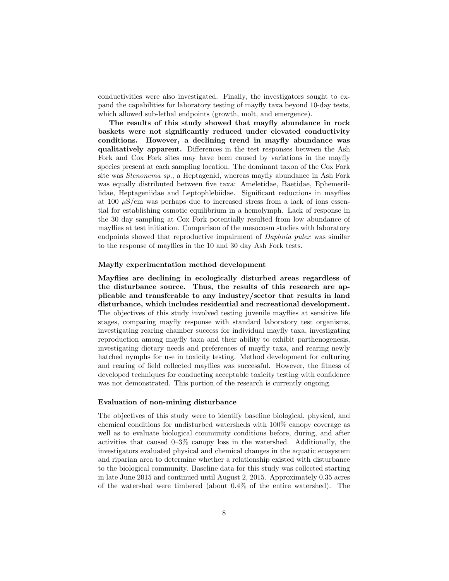conductivities were also investigated. Finally, the investigators sought to expand the capabilities for laboratory testing of mayfly taxa beyond 10-day tests, which allowed sub-lethal endpoints (growth, molt, and emergence).

The results of this study showed that mayfly abundance in rock baskets were not significantly reduced under elevated conductivity conditions. However, a declining trend in mayfly abundance was qualitatively apparent. Differences in the test responses between the Ash Fork and Cox Fork sites may have been caused by variations in the mayfly species present at each sampling location. The dominant taxon of the Cox Fork site was Stenonema sp., a Heptagenid, whereas mayfly abundance in Ash Fork was equally distributed between five taxa: Ameletidae, Baetidae, Ephemerillidae, Heptageniidae and Leptophlebiidae. Significant reductions in mayflies at 100  $\mu$ S/cm was perhaps due to increased stress from a lack of ions essential for establishing osmotic equilibrium in a hemolymph. Lack of response in the 30 day sampling at Cox Fork potentially resulted from low abundance of mayflies at test initiation. Comparison of the mesocosm studies with laboratory endpoints showed that reproductive impairment of Daphnia pulex was similar to the response of mayflies in the 10 and 30 day Ash Fork tests.

#### Mayfly experimentation method development

Mayflies are declining in ecologically disturbed areas regardless of the disturbance source. Thus, the results of this research are applicable and transferable to any industry/sector that results in land disturbance, which includes residential and recreational development. The objectives of this study involved testing juvenile mayflies at sensitive life stages, comparing mayfly response with standard laboratory test organisms, investigating rearing chamber success for individual mayfly taxa, investigating reproduction among mayfly taxa and their ability to exhibit parthenogenesis, investigating dietary needs and preferences of mayfly taxa, and rearing newly hatched nymphs for use in toxicity testing. Method development for culturing and rearing of field collected mayflies was successful. However, the fitness of developed techniques for conducting acceptable toxicity testing with confidence was not demonstrated. This portion of the research is currently ongoing.

#### Evaluation of non-mining disturbance

The objectives of this study were to identify baseline biological, physical, and chemical conditions for undisturbed watersheds with 100% canopy coverage as well as to evaluate biological community conditions before, during, and after activities that caused 0–3% canopy loss in the watershed. Additionally, the investigators evaluated physical and chemical changes in the aquatic ecosystem and riparian area to determine whether a relationship existed with disturbance to the biological community. Baseline data for this study was collected starting in late June 2015 and continued until August 2, 2015. Approximately 0.35 acres of the watershed were timbered (about 0.4% of the entire watershed). The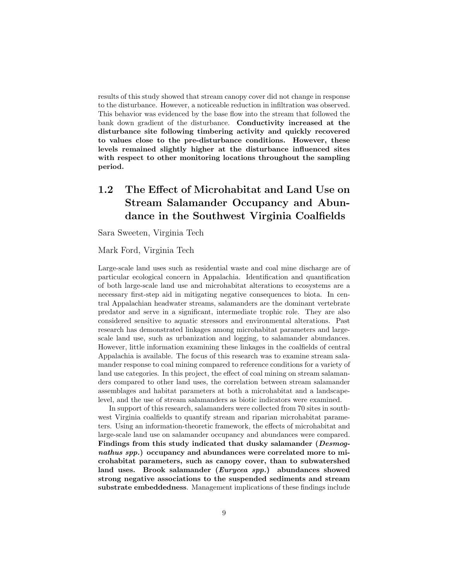results of this study showed that stream canopy cover did not change in response to the disturbance. However, a noticeable reduction in infiltration was observed. This behavior was evidenced by the base flow into the stream that followed the bank down gradient of the disturbance. Conductivity increased at the disturbance site following timbering activity and quickly recovered to values close to the pre-disturbance conditions. However, these levels remained slightly higher at the disturbance influenced sites with respect to other monitoring locations throughout the sampling period.

# 1.2 The Effect of Microhabitat and Land Use on Stream Salamander Occupancy and Abundance in the Southwest Virginia Coalfields

Sara Sweeten, Virginia Tech

Mark Ford, Virginia Tech

Large-scale land uses such as residential waste and coal mine discharge are of particular ecological concern in Appalachia. Identification and quantification of both large-scale land use and microhabitat alterations to ecosystems are a necessary first-step aid in mitigating negative consequences to biota. In central Appalachian headwater streams, salamanders are the dominant vertebrate predator and serve in a significant, intermediate trophic role. They are also considered sensitive to aquatic stressors and environmental alterations. Past research has demonstrated linkages among microhabitat parameters and largescale land use, such as urbanization and logging, to salamander abundances. However, little information examining these linkages in the coalfields of central Appalachia is available. The focus of this research was to examine stream salamander response to coal mining compared to reference conditions for a variety of land use categories. In this project, the effect of coal mining on stream salamanders compared to other land uses, the correlation between stream salamander assemblages and habitat parameters at both a microhabitat and a landscapelevel, and the use of stream salamanders as biotic indicators were examined.

In support of this research, salamanders were collected from 70 sites in southwest Virginia coalfields to quantify stream and riparian microhabitat parameters. Using an information-theoretic framework, the effects of microhabitat and large-scale land use on salamander occupancy and abundances were compared. Findings from this study indicated that dusky salamander (Desmognathus spp.) occupancy and abundances were correlated more to microhabitat parameters, such as canopy cover, than to subwatershed land uses. Brook salamander (Eurycea spp.) abundances showed strong negative associations to the suspended sediments and stream substrate embeddedness. Management implications of these findings include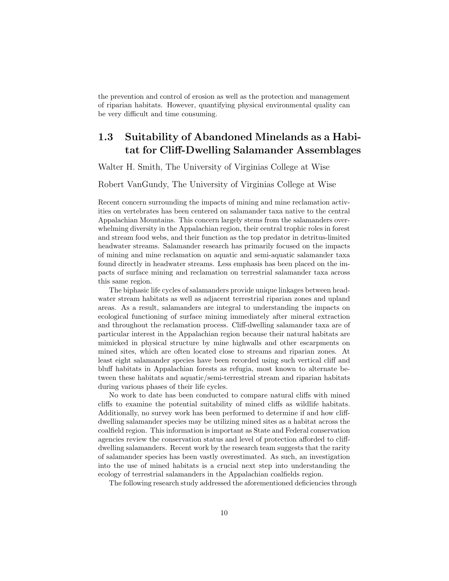the prevention and control of erosion as well as the protection and management of riparian habitats. However, quantifying physical environmental quality can be very difficult and time consuming.

## 1.3 Suitability of Abandoned Minelands as a Habitat for Cliff-Dwelling Salamander Assemblages

Walter H. Smith, The University of Virginias College at Wise

#### Robert VanGundy, The University of Virginias College at Wise

Recent concern surrounding the impacts of mining and mine reclamation activities on vertebrates has been centered on salamander taxa native to the central Appalachian Mountains. This concern largely stems from the salamanders overwhelming diversity in the Appalachian region, their central trophic roles in forest and stream food webs, and their function as the top predator in detritus-limited headwater streams. Salamander research has primarily focused on the impacts of mining and mine reclamation on aquatic and semi-aquatic salamander taxa found directly in headwater streams. Less emphasis has been placed on the impacts of surface mining and reclamation on terrestrial salamander taxa across this same region.

The biphasic life cycles of salamanders provide unique linkages between headwater stream habitats as well as adjacent terrestrial riparian zones and upland areas. As a result, salamanders are integral to understanding the impacts on ecological functioning of surface mining immediately after mineral extraction and throughout the reclamation process. Cliff-dwelling salamander taxa are of particular interest in the Appalachian region because their natural habitats are mimicked in physical structure by mine highwalls and other escarpments on mined sites, which are often located close to streams and riparian zones. At least eight salamander species have been recorded using such vertical cliff and bluff habitats in Appalachian forests as refugia, most known to alternate between these habitats and aquatic/semi-terrestrial stream and riparian habitats during various phases of their life cycles.

No work to date has been conducted to compare natural cliffs with mined cliffs to examine the potential suitability of mined cliffs as wildlife habitats. Additionally, no survey work has been performed to determine if and how cliffdwelling salamander species may be utilizing mined sites as a habitat across the coalfield region. This information is important as State and Federal conservation agencies review the conservation status and level of protection afforded to cliffdwelling salamanders. Recent work by the research team suggests that the rarity of salamander species has been vastly overestimated. As such, an investigation into the use of mined habitats is a crucial next step into understanding the ecology of terrestrial salamanders in the Appalachian coalfields region.

The following research study addressed the aforementioned deficiencies through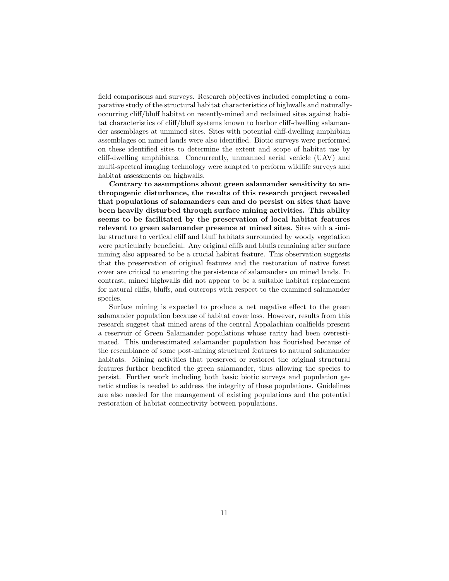field comparisons and surveys. Research objectives included completing a comparative study of the structural habitat characteristics of highwalls and naturallyoccurring cliff/bluff habitat on recently-mined and reclaimed sites against habitat characteristics of cliff/bluff systems known to harbor cliff-dwelling salamander assemblages at unmined sites. Sites with potential cliff-dwelling amphibian assemblages on mined lands were also identified. Biotic surveys were performed on these identified sites to determine the extent and scope of habitat use by cliff-dwelling amphibians. Concurrently, unmanned aerial vehicle (UAV) and multi-spectral imaging technology were adapted to perform wildlife surveys and habitat assessments on highwalls.

Contrary to assumptions about green salamander sensitivity to anthropogenic disturbance, the results of this research project revealed that populations of salamanders can and do persist on sites that have been heavily disturbed through surface mining activities. This ability seems to be facilitated by the preservation of local habitat features relevant to green salamander presence at mined sites. Sites with a similar structure to vertical cliff and bluff habitats surrounded by woody vegetation were particularly beneficial. Any original cliffs and bluffs remaining after surface mining also appeared to be a crucial habitat feature. This observation suggests that the preservation of original features and the restoration of native forest cover are critical to ensuring the persistence of salamanders on mined lands. In contrast, mined highwalls did not appear to be a suitable habitat replacement for natural cliffs, bluffs, and outcrops with respect to the examined salamander species.

Surface mining is expected to produce a net negative effect to the green salamander population because of habitat cover loss. However, results from this research suggest that mined areas of the central Appalachian coalfields present a reservoir of Green Salamander populations whose rarity had been overestimated. This underestimated salamander population has flourished because of the resemblance of some post-mining structural features to natural salamander habitats. Mining activities that preserved or restored the original structural features further benefited the green salamander, thus allowing the species to persist. Further work including both basic biotic surveys and population genetic studies is needed to address the integrity of these populations. Guidelines are also needed for the management of existing populations and the potential restoration of habitat connectivity between populations.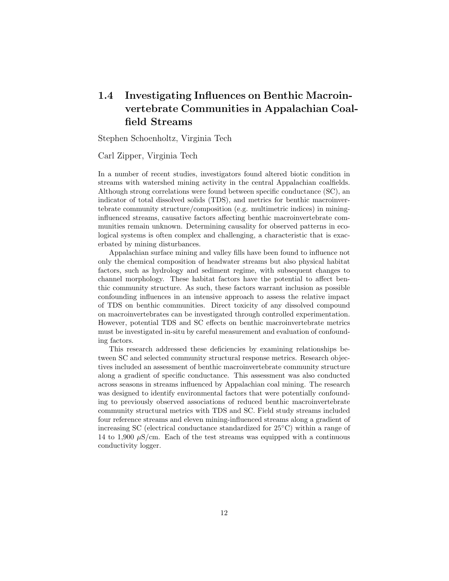# 1.4 Investigating Influences on Benthic Macroinvertebrate Communities in Appalachian Coalfield Streams

Stephen Schoenholtz, Virginia Tech

#### Carl Zipper, Virginia Tech

In a number of recent studies, investigators found altered biotic condition in streams with watershed mining activity in the central Appalachian coalfields. Although strong correlations were found between specific conductance (SC), an indicator of total dissolved solids (TDS), and metrics for benthic macroinvertebrate community structure/composition (e.g. multimetric indices) in mininginfluenced streams, causative factors affecting benthic macroinvertebrate communities remain unknown. Determining causality for observed patterns in ecological systems is often complex and challenging, a characteristic that is exacerbated by mining disturbances.

Appalachian surface mining and valley fills have been found to influence not only the chemical composition of headwater streams but also physical habitat factors, such as hydrology and sediment regime, with subsequent changes to channel morphology. These habitat factors have the potential to affect benthic community structure. As such, these factors warrant inclusion as possible confounding influences in an intensive approach to assess the relative impact of TDS on benthic communities. Direct toxicity of any dissolved compound on macroinvertebrates can be investigated through controlled experimentation. However, potential TDS and SC effects on benthic macroinvertebrate metrics must be investigated in-situ by careful measurement and evaluation of confounding factors.

This research addressed these deficiencies by examining relationships between SC and selected community structural response metrics. Research objectives included an assessment of benthic macroinvertebrate community structure along a gradient of specific conductance. This assessment was also conducted across seasons in streams influenced by Appalachian coal mining. The research was designed to identify environmental factors that were potentially confounding to previously observed associations of reduced benthic macroinvertebrate community structural metrics with TDS and SC. Field study streams included four reference streams and eleven mining-influenced streams along a gradient of increasing SC (electrical conductance standardized for 25◦C) within a range of 14 to 1,900  $\mu$ S/cm. Each of the test streams was equipped with a continuous conductivity logger.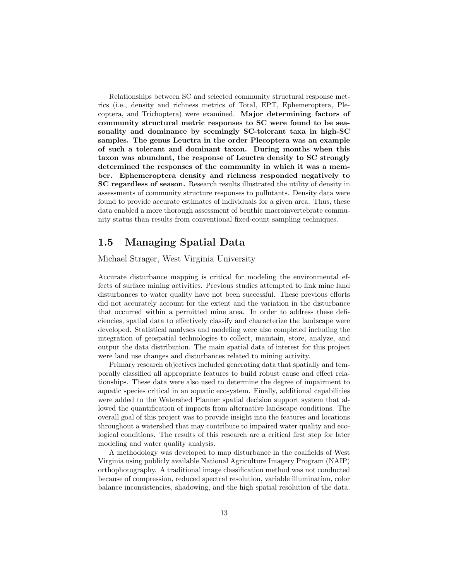Relationships between SC and selected community structural response metrics (i.e., density and richness metrics of Total, EPT, Ephemeroptera, Plecoptera, and Trichoptera) were examined. Major determining factors of community structural metric responses to SC were found to be seasonality and dominance by seemingly SC-tolerant taxa in high-SC samples. The genus Leuctra in the order Plecoptera was an example of such a tolerant and dominant taxon. During months when this taxon was abundant, the response of Leuctra density to SC strongly determined the responses of the community in which it was a member. Ephemeroptera density and richness responded negatively to SC regardless of season. Research results illustrated the utility of density in assessments of community structure responses to pollutants. Density data were found to provide accurate estimates of individuals for a given area. Thus, these data enabled a more thorough assessment of benthic macroinvertebrate community status than results from conventional fixed-count sampling techniques.

### 1.5 Managing Spatial Data

#### Michael Strager, West Virginia University

Accurate disturbance mapping is critical for modeling the environmental effects of surface mining activities. Previous studies attempted to link mine land disturbances to water quality have not been successful. These previous efforts did not accurately account for the extent and the variation in the disturbance that occurred within a permitted mine area. In order to address these deficiencies, spatial data to effectively classify and characterize the landscape were developed. Statistical analyses and modeling were also completed including the integration of geospatial technologies to collect, maintain, store, analyze, and output the data distribution. The main spatial data of interest for this project were land use changes and disturbances related to mining activity.

Primary research objectives included generating data that spatially and temporally classified all appropriate features to build robust cause and effect relationships. These data were also used to determine the degree of impairment to aquatic species critical in an aquatic ecosystem. Finally, additional capabilities were added to the Watershed Planner spatial decision support system that allowed the quantification of impacts from alternative landscape conditions. The overall goal of this project was to provide insight into the features and locations throughout a watershed that may contribute to impaired water quality and ecological conditions. The results of this research are a critical first step for later modeling and water quality analysis.

A methodology was developed to map disturbance in the coalfields of West Virginia using publicly available National Agriculture Imagery Program (NAIP) orthophotography. A traditional image classification method was not conducted because of compression, reduced spectral resolution, variable illumination, color balance inconsistencies, shadowing, and the high spatial resolution of the data.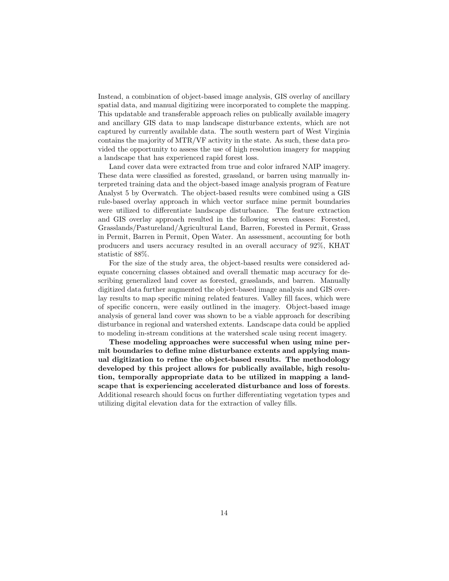Instead, a combination of object-based image analysis, GIS overlay of ancillary spatial data, and manual digitizing were incorporated to complete the mapping. This updatable and transferable approach relies on publically available imagery and ancillary GIS data to map landscape disturbance extents, which are not captured by currently available data. The south western part of West Virginia contains the majority of MTR/VF activity in the state. As such, these data provided the opportunity to assess the use of high resolution imagery for mapping a landscape that has experienced rapid forest loss.

Land cover data were extracted from true and color infrared NAIP imagery. These data were classified as forested, grassland, or barren using manually interpreted training data and the object-based image analysis program of Feature Analyst 5 by Overwatch. The object-based results were combined using a GIS rule-based overlay approach in which vector surface mine permit boundaries were utilized to differentiate landscape disturbance. The feature extraction and GIS overlay approach resulted in the following seven classes: Forested, Grasslands/Pastureland/Agricultural Land, Barren, Forested in Permit, Grass in Permit, Barren in Permit, Open Water. An assessment, accounting for both producers and users accuracy resulted in an overall accuracy of 92%, KHAT statistic of 88%.

For the size of the study area, the object-based results were considered adequate concerning classes obtained and overall thematic map accuracy for describing generalized land cover as forested, grasslands, and barren. Manually digitized data further augmented the object-based image analysis and GIS overlay results to map specific mining related features. Valley fill faces, which were of specific concern, were easily outlined in the imagery. Object-based image analysis of general land cover was shown to be a viable approach for describing disturbance in regional and watershed extents. Landscape data could be applied to modeling in-stream conditions at the watershed scale using recent imagery.

These modeling approaches were successful when using mine permit boundaries to define mine disturbance extents and applying manual digitization to refine the object-based results. The methodology developed by this project allows for publically available, high resolution, temporally appropriate data to be utilized in mapping a landscape that is experiencing accelerated disturbance and loss of forests. Additional research should focus on further differentiating vegetation types and utilizing digital elevation data for the extraction of valley fills.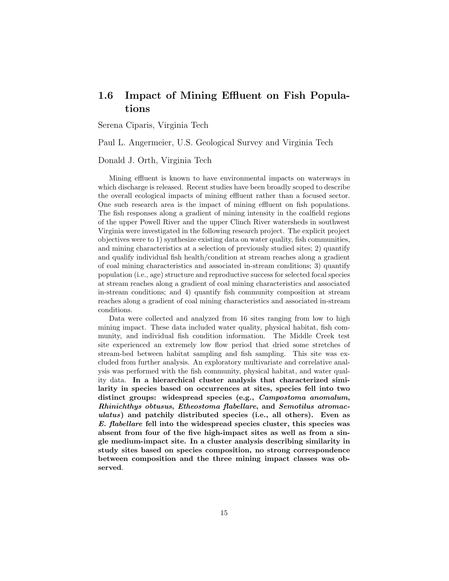### 1.6 Impact of Mining Effluent on Fish Populations

Serena Ciparis, Virginia Tech

Paul L. Angermeier, U.S. Geological Survey and Virginia Tech

Donald J. Orth, Virginia Tech

Mining effluent is known to have environmental impacts on waterways in which discharge is released. Recent studies have been broadly scoped to describe the overall ecological impacts of mining effluent rather than a focused sector. One such research area is the impact of mining effluent on fish populations. The fish responses along a gradient of mining intensity in the coalfield regions of the upper Powell River and the upper Clinch River watersheds in southwest Virginia were investigated in the following research project. The explicit project objectives were to 1) synthesize existing data on water quality, fish communities, and mining characteristics at a selection of previously studied sites; 2) quantify and qualify individual fish health/condition at stream reaches along a gradient of coal mining characteristics and associated in-stream conditions; 3) quantify population (i.e., age) structure and reproductive success for selected focal species at stream reaches along a gradient of coal mining characteristics and associated in-stream conditions; and 4) quantify fish community composition at stream reaches along a gradient of coal mining characteristics and associated in-stream conditions.

Data were collected and analyzed from 16 sites ranging from low to high mining impact. These data included water quality, physical habitat, fish community, and individual fish condition information. The Middle Creek test site experienced an extremely low flow period that dried some stretches of stream-bed between habitat sampling and fish sampling. This site was excluded from further analysis. An exploratory multivariate and correlative analysis was performed with the fish community, physical habitat, and water quality data. In a hierarchical cluster analysis that characterized similarity in species based on occurrences at sites, species fell into two distinct groups: widespread species (e.g., Campostoma anomalum, Rhinichthys obtusus, Etheostoma flabellare, and Semotilus atromaculatus) and patchily distributed species (i.e., all others). Even as E. flabellare fell into the widespread species cluster, this species was absent from four of the five high-impact sites as well as from a single medium-impact site. In a cluster analysis describing similarity in study sites based on species composition, no strong correspondence between composition and the three mining impact classes was observed.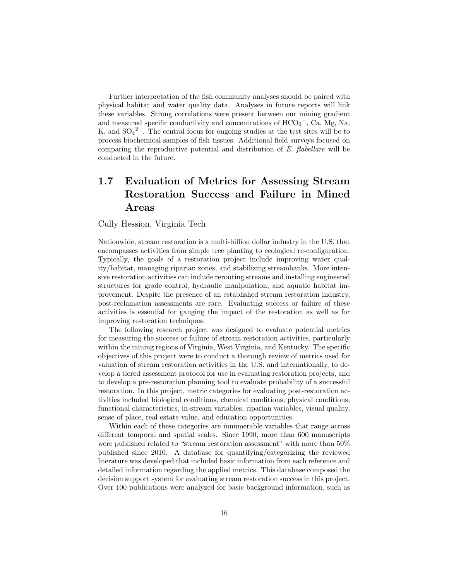Further interpretation of the fish community analyses should be paired with physical habitat and water quality data. Analyses in future reports will link these variables. Strong correlations were present between our mining gradient and measured specific conductivity and concentrations of  $\mathrm{HCO_3}^-$ , Ca, Mg, Na, K, and  $SO_4^2$ <sup>-</sup>. The central focus for ongoing studies at the test sites will be to process biochemical samples of fish tissues. Additional field surveys focused on comparing the reproductive potential and distribution of E. flabellare will be conducted in the future.

# 1.7 Evaluation of Metrics for Assessing Stream Restoration Success and Failure in Mined Areas

Cully Hession, Virginia Tech

Nationwide, stream restoration is a multi-billion dollar industry in the U.S. that encompasses activities from simple tree planting to ecological re-configuration. Typically, the goals of a restoration project include improving water quality/habitat, managing riparian zones, and stabilizing streambanks. More intensive restoration activities can include rerouting streams and installing engineered structures for grade control, hydraulic manipulation, and aquatic habitat improvement. Despite the presence of an established stream restoration industry, post-reclamation assessments are rare. Evaluating success or failure of these activities is essential for gauging the impact of the restoration as well as for improving restoration techniques.

The following research project was designed to evaluate potential metrics for measuring the success or failure of stream restoration activities, particularly within the mining regions of Virginia, West Virginia, and Kentucky. The specific objectives of this project were to conduct a thorough review of metrics used for valuation of stream restoration activities in the U.S. and internationally, to develop a tiered assessment protocol for use in evaluating restoration projects, and to develop a pre-restoration planning tool to evaluate probability of a successful restoration. In this project, metric categories for evaluating post-restoration activities included biological conditions, chemical conditions, physical conditions, functional characteristics, in-stream variables, riparian variables, visual quality, sense of place, real estate value, and education opportunities.

Within each of these categories are innumerable variables that range across different temporal and spatial scales. Since 1990, more than 600 manuscripts were published related to "stream restoration assessment" with more than 50% published since 2010. A database for quantifying/categorizing the reviewed literature was developed that included basic information from each reference and detailed information regarding the applied metrics. This database composed the decision support system for evaluating stream restoration success in this project. Over 100 publications were analyzed for basic background information, such as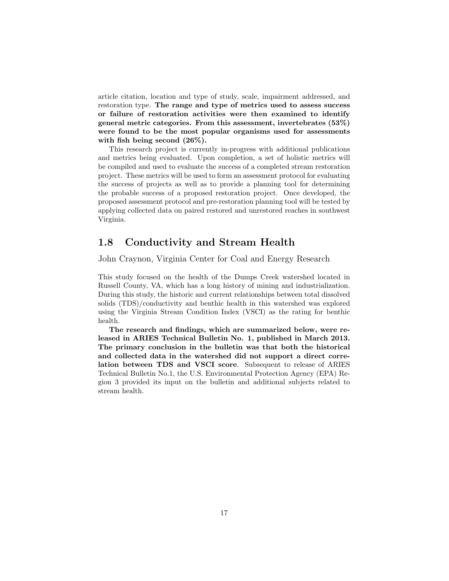article citation, location and type of study, scale, impairment addressed, and restoration type. The range and type of metrics used to assess success or failure of restoration activities were then examined to identify general metric categories. From this assessment, invertebrates (53%) were found to be the most popular organisms used for assessments with fish being second (26%).

This research project is currently in-progress with additional publications and metrics being evaluated. Upon completion, a set of holistic metrics will be compiled and used to evaluate the success of a completed stream restoration project. These metrics will be used to form an assessment protocol for evaluating the success of projects as well as to provide a planning tool for determining the probable success of a proposed restoration project. Once developed, the proposed assessment protocol and pre-restoration planning tool will be tested by applying collected data on paired restored and unrestored reaches in southwest Virginia.

#### 1.8 Conductivity and Stream Health

John Craynon, Virginia Center for Coal and Energy Research

This study focused on the health of the Dumps Creek watershed located in Russell County, VA, which has a long history of mining and industrialization. During this study, the historic and current relationships between total dissolved solids (TDS)/conductivity and benthic health in this watershed was explored using the Virginia Stream Condition Index (VSCI) as the rating for benthic health.

The research and findings, which are summarized below, were released in ARIES Technical Bulletin No. 1, published in March 2013. The primary conclusion in the bulletin was that both the historical and collected data in the watershed did not support a direct correlation between TDS and VSCI score. Subsequent to release of ARIES Technical Bulletin No.1, the U.S. Environmental Protection Agency (EPA) Region 3 provided its input on the bulletin and additional subjects related to stream health.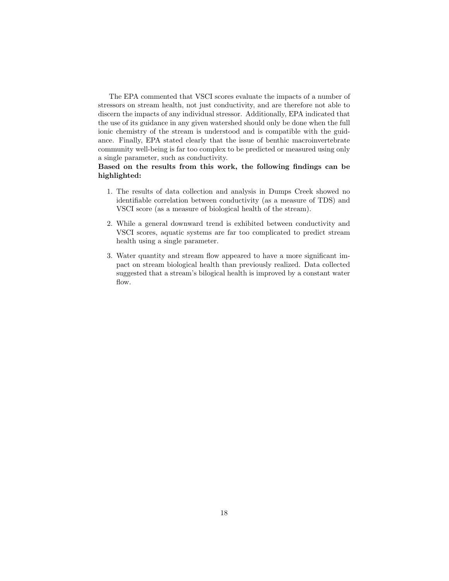The EPA commented that VSCI scores evaluate the impacts of a number of stressors on stream health, not just conductivity, and are therefore not able to discern the impacts of any individual stressor. Additionally, EPA indicated that the use of its guidance in any given watershed should only be done when the full ionic chemistry of the stream is understood and is compatible with the guidance. Finally, EPA stated clearly that the issue of benthic macroinvertebrate community well-being is far too complex to be predicted or measured using only a single parameter, such as conductivity.

#### Based on the results from this work, the following findings can be highlighted:

- 1. The results of data collection and analysis in Dumps Creek showed no identifiable correlation between conductivity (as a measure of TDS) and VSCI score (as a measure of biological health of the stream).
- 2. While a general downward trend is exhibited between conductivity and VSCI scores, aquatic systems are far too complicated to predict stream health using a single parameter.
- 3. Water quantity and stream flow appeared to have a more significant impact on stream biological health than previously realized. Data collected suggested that a stream's bilogical health is improved by a constant water flow.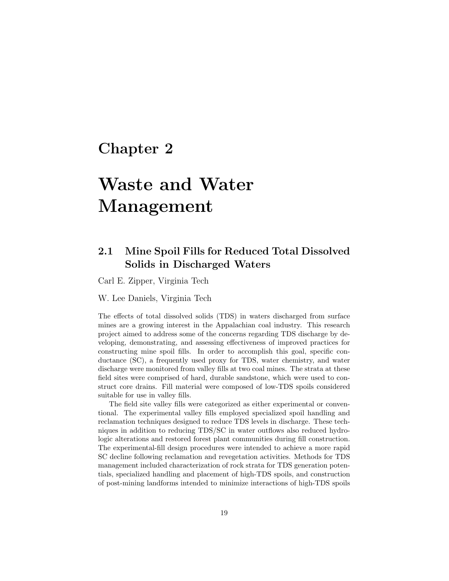# Chapter 2

# Waste and Water Management

## 2.1 Mine Spoil Fills for Reduced Total Dissolved Solids in Discharged Waters

Carl E. Zipper, Virginia Tech

W. Lee Daniels, Virginia Tech

The effects of total dissolved solids (TDS) in waters discharged from surface mines are a growing interest in the Appalachian coal industry. This research project aimed to address some of the concerns regarding TDS discharge by developing, demonstrating, and assessing effectiveness of improved practices for constructing mine spoil fills. In order to accomplish this goal, specific conductance (SC), a frequently used proxy for TDS, water chemistry, and water discharge were monitored from valley fills at two coal mines. The strata at these field sites were comprised of hard, durable sandstone, which were used to construct core drains. Fill material were composed of low-TDS spoils considered suitable for use in valley fills.

The field site valley fills were categorized as either experimental or conventional. The experimental valley fills employed specialized spoil handling and reclamation techniques designed to reduce TDS levels in discharge. These techniques in addition to reducing TDS/SC in water outflows also reduced hydrologic alterations and restored forest plant communities during fill construction. The experimental-fill design procedures were intended to achieve a more rapid SC decline following reclamation and revegetation activities. Methods for TDS management included characterization of rock strata for TDS generation potentials, specialized handling and placement of high-TDS spoils, and construction of post-mining landforms intended to minimize interactions of high-TDS spoils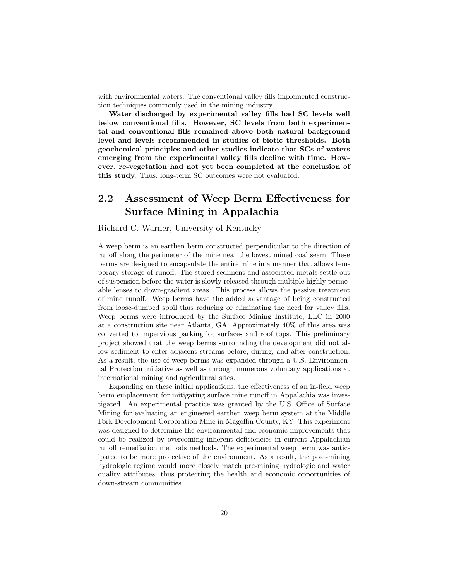with environmental waters. The conventional valley fills implemented construction techniques commonly used in the mining industry.

Water discharged by experimental valley fills had SC levels well below conventional fills. However, SC levels from both experimental and conventional fills remained above both natural background level and levels recommended in studies of biotic thresholds. Both geochemical principles and other studies indicate that SCs of waters emerging from the experimental valley fills decline with time. However, re-vegetation had not yet been completed at the conclusion of this study. Thus, long-term SC outcomes were not evaluated.

# 2.2 Assessment of Weep Berm Effectiveness for Surface Mining in Appalachia

#### Richard C. Warner, University of Kentucky

A weep berm is an earthen berm constructed perpendicular to the direction of runoff along the perimeter of the mine near the lowest mined coal seam. These berms are designed to encapsulate the entire mine in a manner that allows temporary storage of runoff. The stored sediment and associated metals settle out of suspension before the water is slowly released through multiple highly permeable lenses to down-gradient areas. This process allows the passive treatment of mine runoff. Weep berms have the added advantage of being constructed from loose-dumped spoil thus reducing or eliminating the need for valley fills. Weep berms were introduced by the Surface Mining Institute, LLC in 2000 at a construction site near Atlanta, GA. Approximately 40% of this area was converted to impervious parking lot surfaces and roof tops. This preliminary project showed that the weep berms surrounding the development did not allow sediment to enter adjacent streams before, during, and after construction. As a result, the use of weep berms was expanded through a U.S. Environmental Protection initiative as well as through numerous voluntary applications at international mining and agricultural sites.

Expanding on these initial applications, the effectiveness of an in-field weep berm emplacement for mitigating surface mine runoff in Appalachia was investigated. An experimental practice was granted by the U.S. Office of Surface Mining for evaluating an engineered earthen weep berm system at the Middle Fork Development Corporation Mine in Magoffin County, KY. This experiment was designed to determine the environmental and economic improvements that could be realized by overcoming inherent deficiencies in current Appalachian runoff remediation methods methods. The experimental weep berm was anticipated to be more protective of the environment. As a result, the post-mining hydrologic regime would more closely match pre-mining hydrologic and water quality attributes, thus protecting the health and economic opportunities of down-stream communities.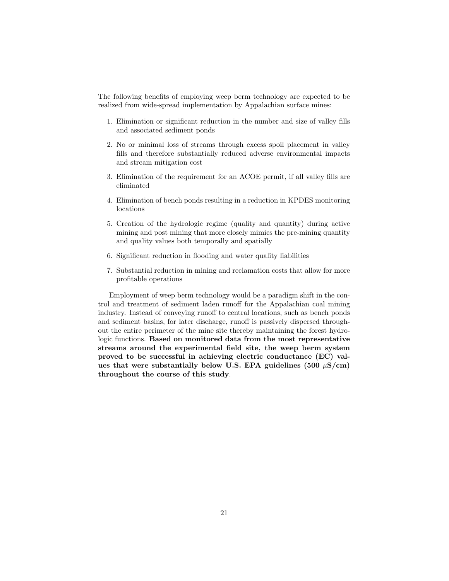The following benefits of employing weep berm technology are expected to be realized from wide-spread implementation by Appalachian surface mines:

- 1. Elimination or significant reduction in the number and size of valley fills and associated sediment ponds
- 2. No or minimal loss of streams through excess spoil placement in valley fills and therefore substantially reduced adverse environmental impacts and stream mitigation cost
- 3. Elimination of the requirement for an ACOE permit, if all valley fills are eliminated
- 4. Elimination of bench ponds resulting in a reduction in KPDES monitoring locations
- 5. Creation of the hydrologic regime (quality and quantity) during active mining and post mining that more closely mimics the pre-mining quantity and quality values both temporally and spatially
- 6. Significant reduction in flooding and water quality liabilities
- 7. Substantial reduction in mining and reclamation costs that allow for more profitable operations

Employment of weep berm technology would be a paradigm shift in the control and treatment of sediment laden runoff for the Appalachian coal mining industry. Instead of conveying runoff to central locations, such as bench ponds and sediment basins, for later discharge, runoff is passively dispersed throughout the entire perimeter of the mine site thereby maintaining the forest hydrologic functions. Based on monitored data from the most representative streams around the experimental field site, the weep berm system proved to be successful in achieving electric conductance (EC) values that were substantially below U.S. EPA guidelines (500  $\mu$ S/cm) throughout the course of this study.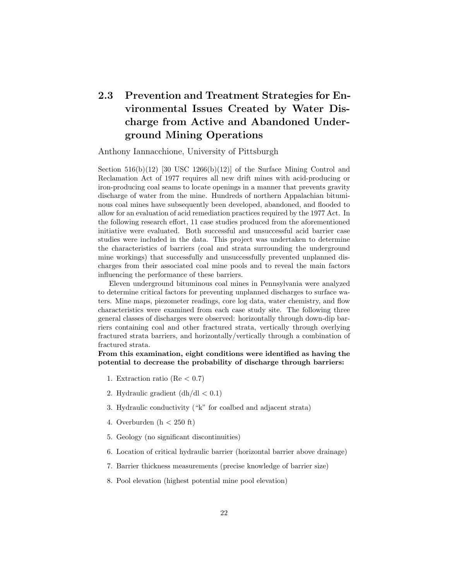# 2.3 Prevention and Treatment Strategies for Environmental Issues Created by Water Discharge from Active and Abandoned Underground Mining Operations

Anthony Iannacchione, University of Pittsburgh

Section  $516(b)(12)$  [30 USC 1266(b)(12)] of the Surface Mining Control and Reclamation Act of 1977 requires all new drift mines with acid-producing or iron-producing coal seams to locate openings in a manner that prevents gravity discharge of water from the mine. Hundreds of northern Appalachian bituminous coal mines have subsequently been developed, abandoned, and flooded to allow for an evaluation of acid remediation practices required by the 1977 Act. In the following research effort, 11 case studies produced from the aforementioned initiative were evaluated. Both successful and unsuccessful acid barrier case studies were included in the data. This project was undertaken to determine the characteristics of barriers (coal and strata surrounding the underground mine workings) that successfully and unsuccessfully prevented unplanned discharges from their associated coal mine pools and to reveal the main factors influencing the performance of these barriers.

Eleven underground bituminous coal mines in Pennsylvania were analyzed to determine critical factors for preventing unplanned discharges to surface waters. Mine maps, piezometer readings, core log data, water chemistry, and flow characteristics were examined from each case study site. The following three general classes of discharges were observed: horizontally through down-dip barriers containing coal and other fractured strata, vertically through overlying fractured strata barriers, and horizontally/vertically through a combination of fractured strata.

From this examination, eight conditions were identified as having the potential to decrease the probability of discharge through barriers:

- 1. Extraction ratio (Re  $< 0.7$ )
- 2. Hydraulic gradient  $(dh/dl < 0.1)$
- 3. Hydraulic conductivity ("k" for coalbed and adjacent strata)
- 4. Overburden  $(h < 250$  ft)
- 5. Geology (no significant discontinuities)
- 6. Location of critical hydraulic barrier (horizontal barrier above drainage)
- 7. Barrier thickness measurements (precise knowledge of barrier size)
- 8. Pool elevation (highest potential mine pool elevation)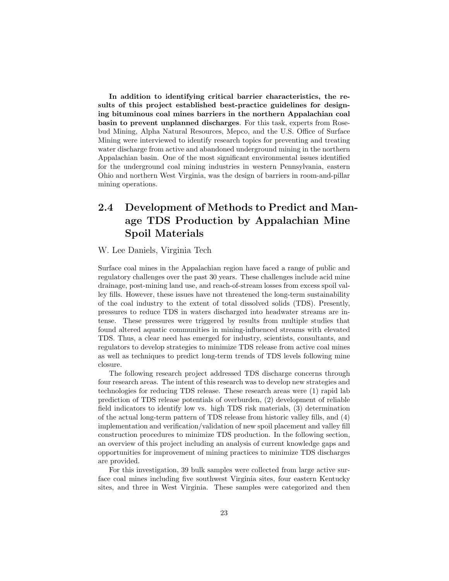In addition to identifying critical barrier characteristics, the results of this project established best-practice guidelines for designing bituminous coal mines barriers in the northern Appalachian coal basin to prevent unplanned discharges. For this task, experts from Rosebud Mining, Alpha Natural Resources, Mepco, and the U.S. Office of Surface Mining were interviewed to identify research topics for preventing and treating water discharge from active and abandoned underground mining in the northern Appalachian basin. One of the most significant environmental issues identified for the underground coal mining industries in western Pennsylvania, eastern Ohio and northern West Virginia, was the design of barriers in room-and-pillar mining operations.

# 2.4 Development of Methods to Predict and Manage TDS Production by Appalachian Mine Spoil Materials

#### W. Lee Daniels, Virginia Tech

Surface coal mines in the Appalachian region have faced a range of public and regulatory challenges over the past 30 years. These challenges include acid mine drainage, post-mining land use, and reach-of-stream losses from excess spoil valley fills. However, these issues have not threatened the long-term sustainability of the coal industry to the extent of total dissolved solids (TDS). Presently, pressures to reduce TDS in waters discharged into headwater streams are intense. These pressures were triggered by results from multiple studies that found altered aquatic communities in mining-influenced streams with elevated TDS. Thus, a clear need has emerged for industry, scientists, consultants, and regulators to develop strategies to minimize TDS release from active coal mines as well as techniques to predict long-term trends of TDS levels following mine closure.

The following research project addressed TDS discharge concerns through four research areas. The intent of this research was to develop new strategies and technologies for reducing TDS release. These research areas were (1) rapid lab prediction of TDS release potentials of overburden, (2) development of reliable field indicators to identify low vs. high TDS risk materials, (3) determination of the actual long-term pattern of TDS release from historic valley fills, and (4) implementation and verification/validation of new spoil placement and valley fill construction procedures to minimize TDS production. In the following section, an overview of this project including an analysis of current knowledge gaps and opportunities for improvement of mining practices to minimize TDS discharges are provided.

For this investigation, 39 bulk samples were collected from large active surface coal mines including five southwest Virginia sites, four eastern Kentucky sites, and three in West Virginia. These samples were categorized and then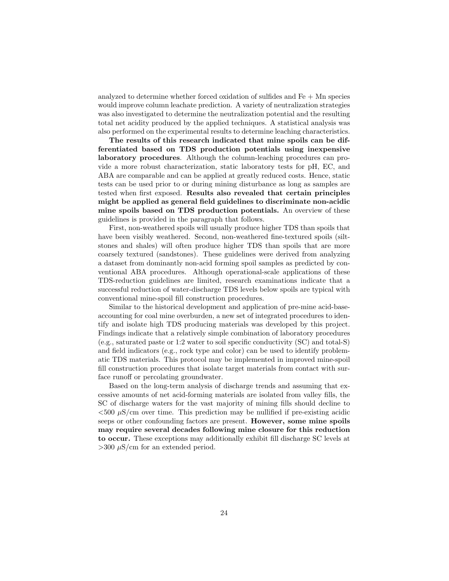analyzed to determine whether forced oxidation of sulfides and Fe + Mn species would improve column leachate prediction. A variety of neutralization strategies was also investigated to determine the neutralization potential and the resulting total net acidity produced by the applied techniques. A statistical analysis was also performed on the experimental results to determine leaching characteristics.

The results of this research indicated that mine spoils can be differentiated based on TDS production potentials using inexpensive laboratory procedures. Although the column-leaching procedures can provide a more robust characterization, static laboratory tests for pH, EC, and ABA are comparable and can be applied at greatly reduced costs. Hence, static tests can be used prior to or during mining disturbance as long as samples are tested when first exposed. Results also revealed that certain principles might be applied as general field guidelines to discriminate non-acidic mine spoils based on TDS production potentials. An overview of these guidelines is provided in the paragraph that follows.

First, non-weathered spoils will usually produce higher TDS than spoils that have been visibly weathered. Second, non-weathered fine-textured spoils (siltstones and shales) will often produce higher TDS than spoils that are more coarsely textured (sandstones). These guidelines were derived from analyzing a dataset from dominantly non-acid forming spoil samples as predicted by conventional ABA procedures. Although operational-scale applications of these TDS-reduction guidelines are limited, research examinations indicate that a successful reduction of water-discharge TDS levels below spoils are typical with conventional mine-spoil fill construction procedures.

Similar to the historical development and application of pre-mine acid-baseaccounting for coal mine overburden, a new set of integrated procedures to identify and isolate high TDS producing materials was developed by this project. Findings indicate that a relatively simple combination of laboratory procedures (e.g., saturated paste or 1:2 water to soil specific conductivity (SC) and total-S) and field indicators (e.g., rock type and color) can be used to identify problematic TDS materials. This protocol may be implemented in improved mine-spoil fill construction procedures that isolate target materials from contact with surface runoff or percolating groundwater.

Based on the long-term analysis of discharge trends and assuming that excessive amounts of net acid-forming materials are isolated from valley fills, the SC of discharge waters for the vast majority of mining fills should decline to  $<$ 500  $\mu$ S/cm over time. This prediction may be nullified if pre-existing acidic seeps or other confounding factors are present. However, some mine spoils may require several decades following mine closure for this reduction to occur. These exceptions may additionally exhibit fill discharge SC levels at  $>300 \mu$ S/cm for an extended period.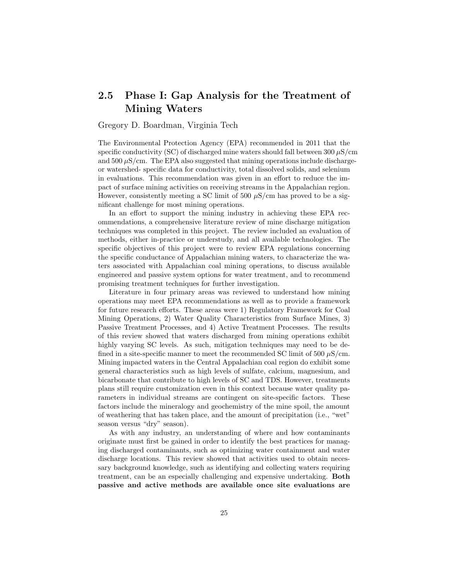## 2.5 Phase I: Gap Analysis for the Treatment of Mining Waters

#### Gregory D. Boardman, Virginia Tech

The Environmental Protection Agency (EPA) recommended in 2011 that the specific conductivity (SC) of discharged mine waters should fall between  $300 \mu$ S/cm and  $500 \mu\text{S/cm}$ . The EPA also suggested that mining operations include dischargeor watershed- specific data for conductivity, total dissolved solids, and selenium in evaluations. This recommendation was given in an effort to reduce the impact of surface mining activities on receiving streams in the Appalachian region. However, consistently meeting a SC limit of 500  $\mu$ S/cm has proved to be a significant challenge for most mining operations.

In an effort to support the mining industry in achieving these EPA recommendations, a comprehensive literature review of mine discharge mitigation techniques was completed in this project. The review included an evaluation of methods, either in-practice or understudy, and all available technologies. The specific objectives of this project were to review EPA regulations concerning the specific conductance of Appalachian mining waters, to characterize the waters associated with Appalachian coal mining operations, to discuss available engineered and passive system options for water treatment, and to recommend promising treatment techniques for further investigation.

Literature in four primary areas was reviewed to understand how mining operations may meet EPA recommendations as well as to provide a framework for future research efforts. These areas were 1) Regulatory Framework for Coal Mining Operations, 2) Water Quality Characteristics from Surface Mines, 3) Passive Treatment Processes, and 4) Active Treatment Processes. The results of this review showed that waters discharged from mining operations exhibit highly varying SC levels. As such, mitigation techniques may need to be defined in a site-specific manner to meet the recommended SC limit of 500  $\mu$ S/cm. Mining impacted waters in the Central Appalachian coal region do exhibit some general characteristics such as high levels of sulfate, calcium, magnesium, and bicarbonate that contribute to high levels of SC and TDS. However, treatments plans still require customization even in this context because water quality parameters in individual streams are contingent on site-specific factors. These factors include the mineralogy and geochemistry of the mine spoil, the amount of weathering that has taken place, and the amount of precipitation (i.e., "wet" season versus "dry" season).

As with any industry, an understanding of where and how contaminants originate must first be gained in order to identify the best practices for managing discharged contaminants, such as optimizing water containment and water discharge locations. This review showed that activities used to obtain necessary background knowledge, such as identifying and collecting waters requiring treatment, can be an especially challenging and expensive undertaking. Both passive and active methods are available once site evaluations are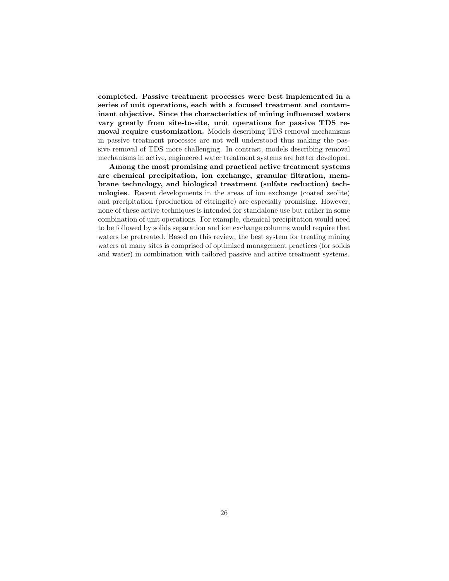completed. Passive treatment processes were best implemented in a series of unit operations, each with a focused treatment and contaminant objective. Since the characteristics of mining influenced waters vary greatly from site-to-site, unit operations for passive TDS removal require customization. Models describing TDS removal mechanisms in passive treatment processes are not well understood thus making the passive removal of TDS more challenging. In contrast, models describing removal mechanisms in active, engineered water treatment systems are better developed.

Among the most promising and practical active treatment systems are chemical precipitation, ion exchange, granular filtration, membrane technology, and biological treatment (sulfate reduction) technologies. Recent developments in the areas of ion exchange (coated zeolite) and precipitation (production of ettringite) are especially promising. However, none of these active techniques is intended for standalone use but rather in some combination of unit operations. For example, chemical precipitation would need to be followed by solids separation and ion exchange columns would require that waters be pretreated. Based on this review, the best system for treating mining waters at many sites is comprised of optimized management practices (for solids and water) in combination with tailored passive and active treatment systems.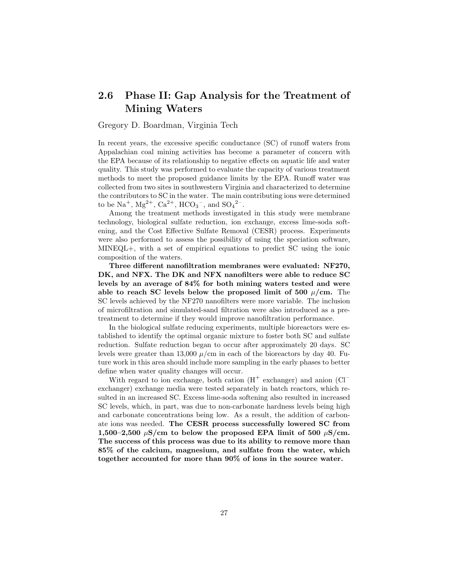## 2.6 Phase II: Gap Analysis for the Treatment of Mining Waters

#### Gregory D. Boardman, Virginia Tech

In recent years, the excessive specific conductance (SC) of runoff waters from Appalachian coal mining activities has become a parameter of concern with the EPA because of its relationship to negative effects on aquatic life and water quality. This study was performed to evaluate the capacity of various treatment methods to meet the proposed guidance limits by the EPA. Runoff water was collected from two sites in southwestern Virginia and characterized to determine the contributors to SC in the water. The main contributing ions were determined to be  $\text{Na}^+$ ,  $\text{Mg}^{2+}$ ,  $\text{Ca}^{2+}$ ,  $\text{HCO}_3^-$ , and  $\text{SO}_4{}^{2-}$ .

Among the treatment methods investigated in this study were membrane technology, biological sulfate reduction, ion exchange, excess lime-soda softening, and the Cost Effective Sulfate Removal (CESR) process. Experiments were also performed to assess the possibility of using the speciation software, MINEQL+, with a set of empirical equations to predict SC using the ionic composition of the waters.

Three different nanofiltration membranes were evaluated: NF270, DK, and NFX. The DK and NFX nanofilters were able to reduce SC levels by an average of 84% for both mining waters tested and were able to reach SC levels below the proposed limit of 500  $\mu$ /cm. The SC levels achieved by the NF270 nanofilters were more variable. The inclusion of microfiltration and simulated-sand filtration were also introduced as a pretreatment to determine if they would improve nanofiltration performance.

In the biological sulfate reducing experiments, multiple bioreactors were established to identify the optimal organic mixture to foster both SC and sulfate reduction. Sulfate reduction began to occur after approximately 20 days. SC levels were greater than 13,000  $\mu$ /cm in each of the bioreactors by day 40. Future work in this area should include more sampling in the early phases to better define when water quality changes will occur.

With regard to ion exchange, both cation  $(H^+$  exchanger) and anion  $(Cl^-)$ exchanger) exchange media were tested separately in batch reactors, which resulted in an increased SC. Excess lime-soda softening also resulted in increased SC levels, which, in part, was due to non-carbonate hardness levels being high and carbonate concentrations being low. As a result, the addition of carbonate ions was needed. The CESR process successfully lowered SC from 1,500–2,500  $\mu$ S/cm to below the proposed EPA limit of 500  $\mu$ S/cm. The success of this process was due to its ability to remove more than 85% of the calcium, magnesium, and sulfate from the water, which together accounted for more than 90% of ions in the source water.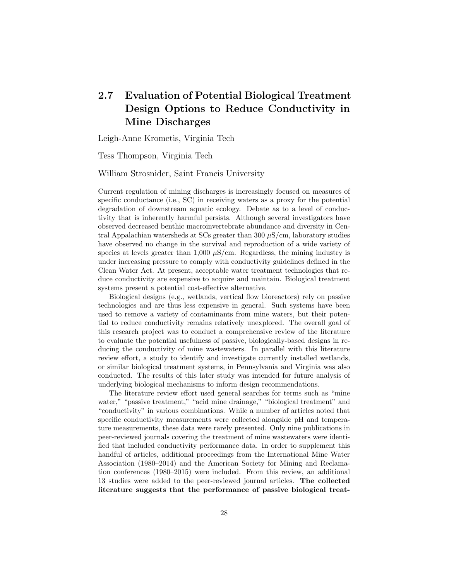# 2.7 Evaluation of Potential Biological Treatment Design Options to Reduce Conductivity in Mine Discharges

Leigh-Anne Krometis, Virginia Tech

Tess Thompson, Virginia Tech

William Strosnider, Saint Francis University

Current regulation of mining discharges is increasingly focused on measures of specific conductance (i.e., SC) in receiving waters as a proxy for the potential degradation of downstream aquatic ecology. Debate as to a level of conductivity that is inherently harmful persists. Although several investigators have observed decreased benthic macroinvertebrate abundance and diversity in Central Appalachian watersheds at SCs greater than 300  $\mu$ S/cm, laboratory studies have observed no change in the survival and reproduction of a wide variety of species at levels greater than 1,000  $\mu$ S/cm. Regardless, the mining industry is under increasing pressure to comply with conductivity guidelines defined in the Clean Water Act. At present, acceptable water treatment technologies that reduce conductivity are expensive to acquire and maintain. Biological treatment systems present a potential cost-effective alternative.

Biological designs (e.g., wetlands, vertical flow bioreactors) rely on passive technologies and are thus less expensive in general. Such systems have been used to remove a variety of contaminants from mine waters, but their potential to reduce conductivity remains relatively unexplored. The overall goal of this research project was to conduct a comprehensive review of the literature to evaluate the potential usefulness of passive, biologically-based designs in reducing the conductivity of mine wastewaters. In parallel with this literature review effort, a study to identify and investigate currently installed wetlands, or similar biological treatment systems, in Pennsylvania and Virginia was also conducted. The results of this later study was intended for future analysis of underlying biological mechanisms to inform design recommendations.

The literature review effort used general searches for terms such as "mine water," "passive treatment," "acid mine drainage," "biological treatment" and "conductivity" in various combinations. While a number of articles noted that specific conductivity measurements were collected alongside pH and temperature measurements, these data were rarely presented. Only nine publications in peer-reviewed journals covering the treatment of mine wastewaters were identified that included conductivity performance data. In order to supplement this handful of articles, additional proceedings from the International Mine Water Association (1980–2014) and the American Society for Mining and Reclamation conferences (1980–2015) were included. From this review, an additional 13 studies were added to the peer-reviewed journal articles. The collected literature suggests that the performance of passive biological treat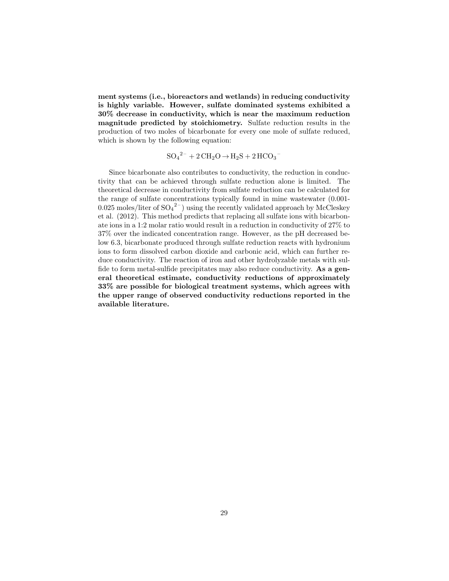ment systems (i.e., bioreactors and wetlands) in reducing conductivity is highly variable. However, sulfate dominated systems exhibited a 30% decrease in conductivity, which is near the maximum reduction magnitude predicted by stoichiometry. Sulfate reduction results in the production of two moles of bicarbonate for every one mole of sulfate reduced, which is shown by the following equation:

$$
SO_4{}^{2-} + 2 CH_2O \rightarrow H_2S + 2 HCO_3{}^{-}
$$

Since bicarbonate also contributes to conductivity, the reduction in conductivity that can be achieved through sulfate reduction alone is limited. The theoretical decrease in conductivity from sulfate reduction can be calculated for the range of sulfate concentrations typically found in mine wastewater (0.001- 0.025 moles/liter of  $SO_4^2$ <sup>-</sup>) using the recently validated approach by McCleskey et al. (2012). This method predicts that replacing all sulfate ions with bicarbonate ions in a 1:2 molar ratio would result in a reduction in conductivity of 27% to 37% over the indicated concentration range. However, as the pH decreased below 6.3, bicarbonate produced through sulfate reduction reacts with hydronium ions to form dissolved carbon dioxide and carbonic acid, which can further reduce conductivity. The reaction of iron and other hydrolyzable metals with sulfide to form metal-sulfide precipitates may also reduce conductivity. As a general theoretical estimate, conductivity reductions of approximately 33% are possible for biological treatment systems, which agrees with the upper range of observed conductivity reductions reported in the available literature.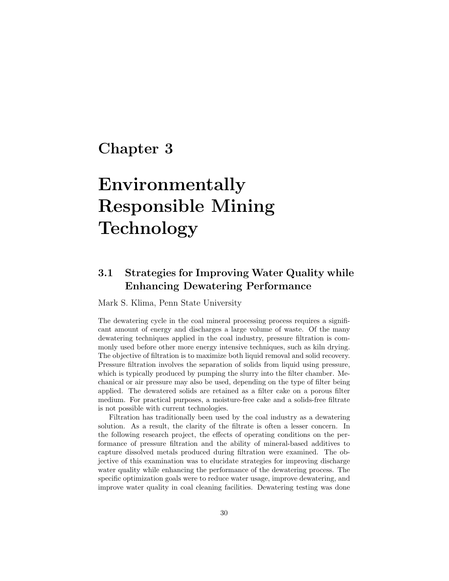# Chapter 3

# Environmentally Responsible Mining Technology

# 3.1 Strategies for Improving Water Quality while Enhancing Dewatering Performance

Mark S. Klima, Penn State University

The dewatering cycle in the coal mineral processing process requires a significant amount of energy and discharges a large volume of waste. Of the many dewatering techniques applied in the coal industry, pressure filtration is commonly used before other more energy intensive techniques, such as kiln drying. The objective of filtration is to maximize both liquid removal and solid recovery. Pressure filtration involves the separation of solids from liquid using pressure, which is typically produced by pumping the slurry into the filter chamber. Mechanical or air pressure may also be used, depending on the type of filter being applied. The dewatered solids are retained as a filter cake on a porous filter medium. For practical purposes, a moisture-free cake and a solids-free filtrate is not possible with current technologies.

Filtration has traditionally been used by the coal industry as a dewatering solution. As a result, the clarity of the filtrate is often a lesser concern. In the following research project, the effects of operating conditions on the performance of pressure filtration and the ability of mineral-based additives to capture dissolved metals produced during filtration were examined. The objective of this examination was to elucidate strategies for improving discharge water quality while enhancing the performance of the dewatering process. The specific optimization goals were to reduce water usage, improve dewatering, and improve water quality in coal cleaning facilities. Dewatering testing was done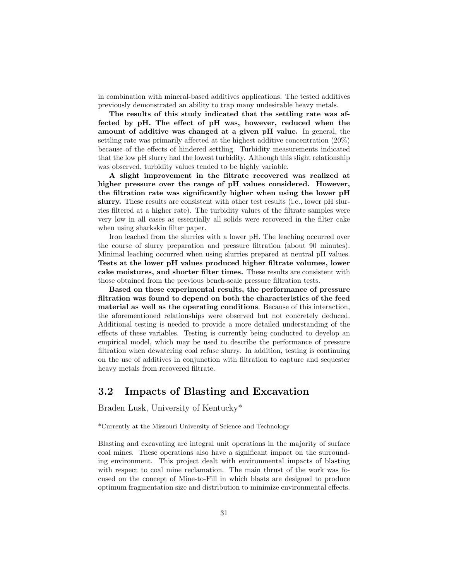in combination with mineral-based additives applications. The tested additives previously demonstrated an ability to trap many undesirable heavy metals.

The results of this study indicated that the settling rate was affected by pH. The effect of pH was, however, reduced when the amount of additive was changed at a given pH value. In general, the settling rate was primarily affected at the highest additive concentration (20%) because of the effects of hindered settling. Turbidity measurements indicated that the low pH slurry had the lowest turbidity. Although this slight relationship was observed, turbidity values tended to be highly variable.

A slight improvement in the filtrate recovered was realized at higher pressure over the range of pH values considered. However, the filtration rate was significantly higher when using the lower pH slurry. These results are consistent with other test results (i.e., lower pH slurries filtered at a higher rate). The turbidity values of the filtrate samples were very low in all cases as essentially all solids were recovered in the filter cake when using sharkskin filter paper.

Iron leached from the slurries with a lower pH. The leaching occurred over the course of slurry preparation and pressure filtration (about 90 minutes). Minimal leaching occurred when using slurries prepared at neutral pH values. Tests at the lower pH values produced higher filtrate volumes, lower cake moistures, and shorter filter times. These results are consistent with those obtained from the previous bench-scale pressure filtration tests.

Based on these experimental results, the performance of pressure filtration was found to depend on both the characteristics of the feed material as well as the operating conditions. Because of this interaction, the aforementioned relationships were observed but not concretely deduced. Additional testing is needed to provide a more detailed understanding of the effects of these variables. Testing is currently being conducted to develop an empirical model, which may be used to describe the performance of pressure filtration when dewatering coal refuse slurry. In addition, testing is continuing on the use of additives in conjunction with filtration to capture and sequester heavy metals from recovered filtrate.

### 3.2 Impacts of Blasting and Excavation

Braden Lusk, University of Kentucky\*

\*Currently at the Missouri University of Science and Technology

Blasting and excavating are integral unit operations in the majority of surface coal mines. These operations also have a significant impact on the surrounding environment. This project dealt with environmental impacts of blasting with respect to coal mine reclamation. The main thrust of the work was focused on the concept of Mine-to-Fill in which blasts are designed to produce optimum fragmentation size and distribution to minimize environmental effects.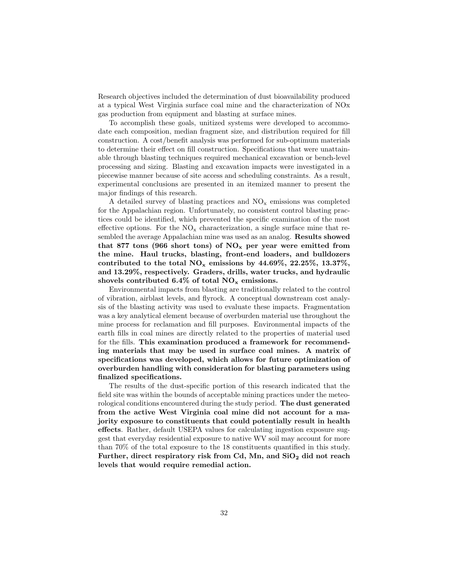Research objectives included the determination of dust bioavailability produced at a typical West Virginia surface coal mine and the characterization of NOx gas production from equipment and blasting at surface mines.

To accomplish these goals, unitized systems were developed to accommodate each composition, median fragment size, and distribution required for fill construction. A cost/benefit analysis was performed for sub-optimum materials to determine their effect on fill construction. Specifications that were unattainable through blasting techniques required mechanical excavation or bench-level processing and sizing. Blasting and excavation impacts were investigated in a piecewise manner because of site access and scheduling constraints. As a result, experimental conclusions are presented in an itemized manner to present the major findings of this research.

A detailed survey of blasting practices and  $NO_x$  emissions was completed for the Appalachian region. Unfortunately, no consistent control blasting practices could be identified, which prevented the specific examination of the most effective options. For the  $NO_x$  characterization, a single surface mine that resembled the average Appalachian mine was used as an analog. Results showed that 877 tons (966 short tons) of  $NO_x$  per year were emitted from the mine. Haul trucks, blasting, front-end loaders, and bulldozers contributed to the total  $NO_x$  emissions by 44.69%, 22.25%, 13.37%, and 13.29%, respectively. Graders, drills, water trucks, and hydraulic shovels contributed 6.4% of total  $NO_x$  emissions.

Environmental impacts from blasting are traditionally related to the control of vibration, airblast levels, and flyrock. A conceptual downstream cost analysis of the blasting activity was used to evaluate these impacts. Fragmentation was a key analytical element because of overburden material use throughout the mine process for reclamation and fill purposes. Environmental impacts of the earth fills in coal mines are directly related to the properties of material used for the fills. This examination produced a framework for recommending materials that may be used in surface coal mines. A matrix of specifications was developed, which allows for future optimization of overburden handling with consideration for blasting parameters using finalized specifications.

The results of the dust-specific portion of this research indicated that the field site was within the bounds of acceptable mining practices under the meteorological conditions encountered during the study period. The dust generated from the active West Virginia coal mine did not account for a majority exposure to constituents that could potentially result in health effects. Rather, default USEPA values for calculating ingestion exposure suggest that everyday residential exposure to native WV soil may account for more than 70% of the total exposure to the 18 constituents quantified in this study. Further, direct respiratory risk from Cd, Mn, and  $SiO<sub>2</sub>$  did not reach levels that would require remedial action.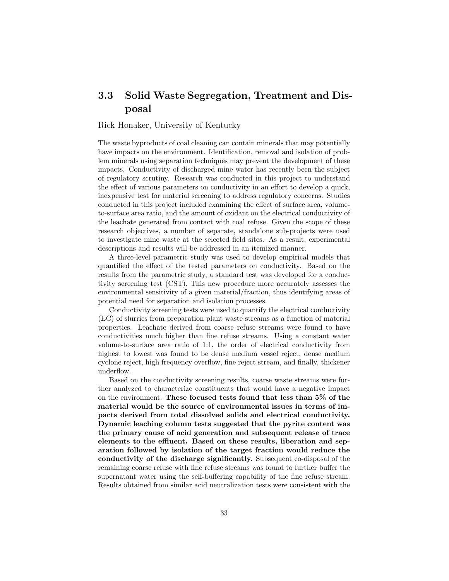### 3.3 Solid Waste Segregation, Treatment and Disposal

#### Rick Honaker, University of Kentucky

The waste byproducts of coal cleaning can contain minerals that may potentially have impacts on the environment. Identification, removal and isolation of problem minerals using separation techniques may prevent the development of these impacts. Conductivity of discharged mine water has recently been the subject of regulatory scrutiny. Research was conducted in this project to understand the effect of various parameters on conductivity in an effort to develop a quick, inexpensive test for material screening to address regulatory concerns. Studies conducted in this project included examining the effect of surface area, volumeto-surface area ratio, and the amount of oxidant on the electrical conductivity of the leachate generated from contact with coal refuse. Given the scope of these research objectives, a number of separate, standalone sub-projects were used to investigate mine waste at the selected field sites. As a result, experimental descriptions and results will be addressed in an itemized manner.

A three-level parametric study was used to develop empirical models that quantified the effect of the tested parameters on conductivity. Based on the results from the parametric study, a standard test was developed for a conductivity screening test (CST). This new procedure more accurately assesses the environmental sensitivity of a given material/fraction, thus identifying areas of potential need for separation and isolation processes.

Conductivity screening tests were used to quantify the electrical conductivity (EC) of slurries from preparation plant waste streams as a function of material properties. Leachate derived from coarse refuse streams were found to have conductivities much higher than fine refuse streams. Using a constant water volume-to-surface area ratio of 1:1, the order of electrical conductivity from highest to lowest was found to be dense medium vessel reject, dense medium cyclone reject, high frequency overflow, fine reject stream, and finally, thickener underflow.

Based on the conductivity screening results, coarse waste streams were further analyzed to characterize constituents that would have a negative impact on the environment. These focused tests found that less than 5% of the material would be the source of environmental issues in terms of impacts derived from total dissolved solids and electrical conductivity. Dynamic leaching column tests suggested that the pyrite content was the primary cause of acid generation and subsequent release of trace elements to the effluent. Based on these results, liberation and separation followed by isolation of the target fraction would reduce the conductivity of the discharge significantly. Subsequent co-disposal of the remaining coarse refuse with fine refuse streams was found to further buffer the supernatant water using the self-buffering capability of the fine refuse stream. Results obtained from similar acid neutralization tests were consistent with the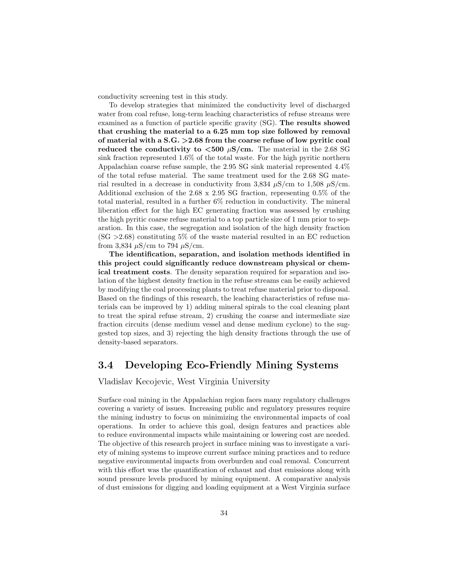conductivity screening test in this study.

To develop strategies that minimized the conductivity level of discharged water from coal refuse, long-term leaching characteristics of refuse streams were examined as a function of particle specific gravity (SG). The results showed that crushing the material to a 6.25 mm top size followed by removal of material with a S.G. >2.68 from the coarse refuse of low pyritic coal reduced the conductivity to  $\langle 500 \ \mu S/cm$ . The material in the 2.68 SG sink fraction represented 1.6% of the total waste. For the high pyritic northern Appalachian coarse refuse sample, the 2.95 SG sink material represented 4.4% of the total refuse material. The same treatment used for the 2.68 SG material resulted in a decrease in conductivity from 3,834  $\mu$ S/cm to 1,508  $\mu$ S/cm. Additional exclusion of the 2.68 x 2.95 SG fraction, representing 0.5% of the total material, resulted in a further 6% reduction in conductivity. The mineral liberation effect for the high EC generating fraction was assessed by crushing the high pyritic coarse refuse material to a top particle size of 1 mm prior to separation. In this case, the segregation and isolation of the high density fraction  $(SG > 2.68)$  constituting 5% of the waste material resulted in an EC reduction from 3,834  $\mu$ S/cm to 794  $\mu$ S/cm.

The identification, separation, and isolation methods identified in this project could significantly reduce downstream physical or chemical treatment costs. The density separation required for separation and isolation of the highest density fraction in the refuse streams can be easily achieved by modifying the coal processing plants to treat refuse material prior to disposal. Based on the findings of this research, the leaching characteristics of refuse materials can be improved by 1) adding mineral spirals to the coal cleaning plant to treat the spiral refuse stream, 2) crushing the coarse and intermediate size fraction circuits (dense medium vessel and dense medium cyclone) to the suggested top sizes, and 3) rejecting the high density fractions through the use of density-based separators.

#### 3.4 Developing Eco-Friendly Mining Systems

Vladislav Kecojevic, West Virginia University

Surface coal mining in the Appalachian region faces many regulatory challenges covering a variety of issues. Increasing public and regulatory pressures require the mining industry to focus on minimizing the environmental impacts of coal operations. In order to achieve this goal, design features and practices able to reduce environmental impacts while maintaining or lowering cost are needed. The objective of this research project in surface mining was to investigate a variety of mining systems to improve current surface mining practices and to reduce negative environmental impacts from overburden and coal removal. Concurrent with this effort was the quantification of exhaust and dust emissions along with sound pressure levels produced by mining equipment. A comparative analysis of dust emissions for digging and loading equipment at a West Virginia surface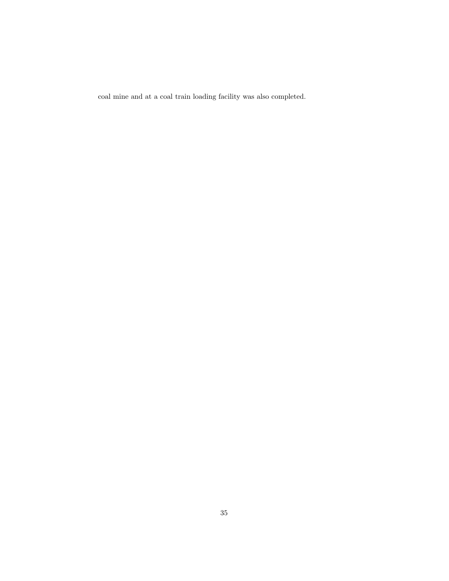coal mine and at a coal train loading facility was also completed.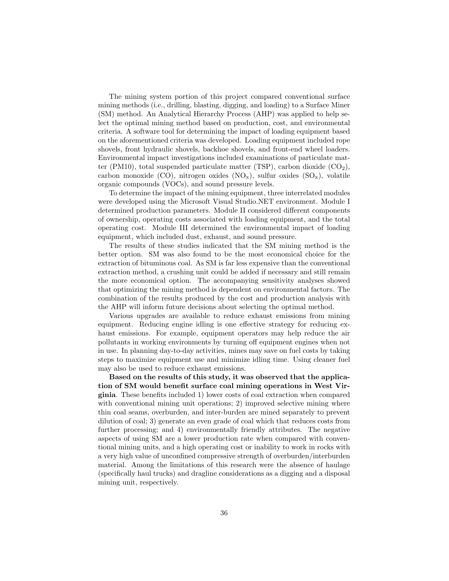The mining system portion of this project compared conventional surface mining methods (i.e., drilling, blasting, digging, and loading) to a Surface Miner (SM) method. An Analytical Hierarchy Process (AHP) was applied to help select the optimal mining method based on production, cost, and environmental criteria. A software tool for determining the impact of loading equipment based on the aforementioned criteria was developed. Loading equipment included rope shovels, front hydraulic shovels, backhoe shovels, and front-end wheel loaders. Environmental impact investigations included examinations of particulate matter (PM10), total suspended particulate matter (TSP), carbon dioxide  $(CO<sub>2</sub>)$ , carbon monoxide (CO), nitrogen oxides  $(NO_x)$ , sulfur oxides  $(SO_x)$ , volatile organic compounds (VOCs), and sound pressure levels.

To determine the impact of the mining equipment, three interrelated modules were developed using the Microsoft Visual Studio.NET environment. Module I determined production parameters. Module II considered different components of ownership, operating costs associated with loading equipment, and the total operating cost. Module III determined the environmental impact of loading equipment, which included dust, exhaust, and sound pressure.

The results of these studies indicated that the SM mining method is the better option. SM was also found to be the most economical choice for the extraction of bituminous coal. As SM is far less expensive than the conventional extraction method, a crushing unit could be added if necessary and still remain the more economical option. The accompanying sensitivity analyses showed that optimizing the mining method is dependent on environmental factors. The combination of the results produced by the cost and production analysis with the AHP will inform future decisions about selecting the optimal method.

Various upgrades are available to reduce exhaust emissions from mining equipment. Reducing engine idling is one effective strategy for reducing exhaust emissions. For example, equipment operators may help reduce the air pollutants in working environments by turning off equipment engines when not in use. In planning day-to-day activities, mines may save on fuel costs by taking steps to maximize equipment use and minimize idling time. Using cleaner fuel may also be used to reduce exhaust emissions.

Based on the results of this study, it was observed that the application of SM would benefit surface coal mining operations in West Virginia. These benefits included 1) lower costs of coal extraction when compared with conventional mining unit operations; 2) improved selective mining where thin coal seams, overburden, and inter-burden are mined separately to prevent dilution of coal; 3) generate an even grade of coal which that reduces costs from further processing; and 4) environmentally friendly attributes. The negative aspects of using SM are a lower production rate when compared with conventional mining units, and a high operating cost or inability to work in rocks with a very high value of unconfined compressive strength of overburden/interburden material. Among the limitations of this research were the absence of haulage (specifically haul trucks) and dragline considerations as a digging and a disposal mining unit, respectively.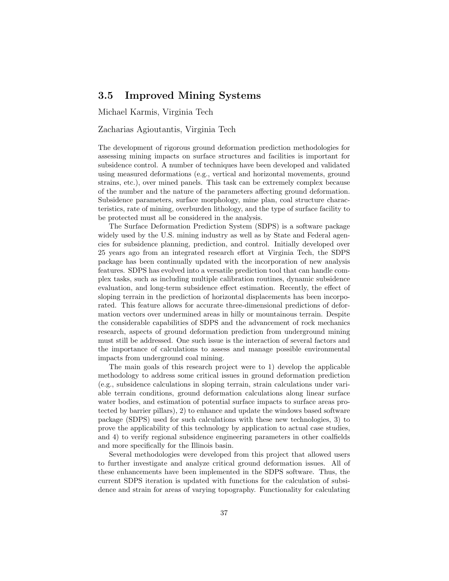### 3.5 Improved Mining Systems

Michael Karmis, Virginia Tech

#### Zacharias Agioutantis, Virginia Tech

The development of rigorous ground deformation prediction methodologies for assessing mining impacts on surface structures and facilities is important for subsidence control. A number of techniques have been developed and validated using measured deformations (e.g., vertical and horizontal movements, ground strains, etc.), over mined panels. This task can be extremely complex because of the number and the nature of the parameters affecting ground deformation. Subsidence parameters, surface morphology, mine plan, coal structure characteristics, rate of mining, overburden lithology, and the type of surface facility to be protected must all be considered in the analysis.

The Surface Deformation Prediction System (SDPS) is a software package widely used by the U.S. mining industry as well as by State and Federal agencies for subsidence planning, prediction, and control. Initially developed over 25 years ago from an integrated research effort at Virginia Tech, the SDPS package has been continually updated with the incorporation of new analysis features. SDPS has evolved into a versatile prediction tool that can handle complex tasks, such as including multiple calibration routines, dynamic subsidence evaluation, and long-term subsidence effect estimation. Recently, the effect of sloping terrain in the prediction of horizontal displacements has been incorporated. This feature allows for accurate three-dimensional predictions of deformation vectors over undermined areas in hilly or mountainous terrain. Despite the considerable capabilities of SDPS and the advancement of rock mechanics research, aspects of ground deformation prediction from underground mining must still be addressed. One such issue is the interaction of several factors and the importance of calculations to assess and manage possible environmental impacts from underground coal mining.

The main goals of this research project were to 1) develop the applicable methodology to address some critical issues in ground deformation prediction (e.g., subsidence calculations in sloping terrain, strain calculations under variable terrain conditions, ground deformation calculations along linear surface water bodies, and estimation of potential surface impacts to surface areas protected by barrier pillars), 2) to enhance and update the windows based software package (SDPS) used for such calculations with these new technologies, 3) to prove the applicability of this technology by application to actual case studies, and 4) to verify regional subsidence engineering parameters in other coalfields and more specifically for the Illinois basin.

Several methodologies were developed from this project that allowed users to further investigate and analyze critical ground deformation issues. All of these enhancements have been implemented in the SDPS software. Thus, the current SDPS iteration is updated with functions for the calculation of subsidence and strain for areas of varying topography. Functionality for calculating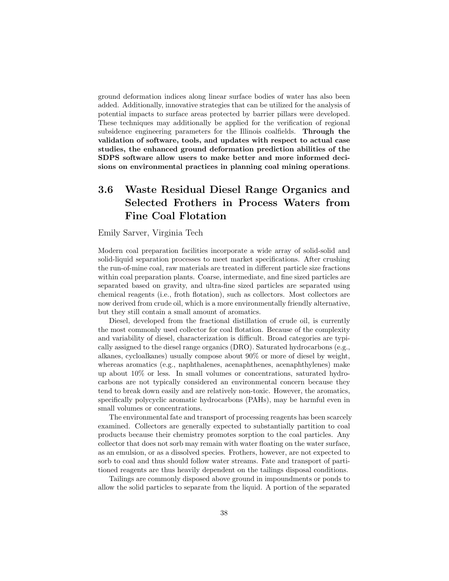ground deformation indices along linear surface bodies of water has also been added. Additionally, innovative strategies that can be utilized for the analysis of potential impacts to surface areas protected by barrier pillars were developed. These techniques may additionally be applied for the verification of regional subsidence engineering parameters for the Illinois coalfields. Through the validation of software, tools, and updates with respect to actual case studies, the enhanced ground deformation prediction abilities of the SDPS software allow users to make better and more informed decisions on environmental practices in planning coal mining operations.

# 3.6 Waste Residual Diesel Range Organics and Selected Frothers in Process Waters from Fine Coal Flotation

Emily Sarver, Virginia Tech

Modern coal preparation facilities incorporate a wide array of solid-solid and solid-liquid separation processes to meet market specifications. After crushing the run-of-mine coal, raw materials are treated in different particle size fractions within coal preparation plants. Coarse, intermediate, and fine sized particles are separated based on gravity, and ultra-fine sized particles are separated using chemical reagents (i.e., froth flotation), such as collectors. Most collectors are now derived from crude oil, which is a more environmentally friendly alternative, but they still contain a small amount of aromatics.

Diesel, developed from the fractional distillation of crude oil, is currently the most commonly used collector for coal flotation. Because of the complexity and variability of diesel, characterization is difficult. Broad categories are typically assigned to the diesel range organics (DRO). Saturated hydrocarbons (e.g., alkanes, cycloalkanes) usually compose about 90% or more of diesel by weight, whereas aromatics (e.g., naphthalenes, acenaphthenes, acenaphthylenes) make up about 10% or less. In small volumes or concentrations, saturated hydrocarbons are not typically considered an environmental concern because they tend to break down easily and are relatively non-toxic. However, the aromatics, specifically polycyclic aromatic hydrocarbons (PAHs), may be harmful even in small volumes or concentrations.

The environmental fate and transport of processing reagents has been scarcely examined. Collectors are generally expected to substantially partition to coal products because their chemistry promotes sorption to the coal particles. Any collector that does not sorb may remain with water floating on the water surface, as an emulsion, or as a dissolved species. Frothers, however, are not expected to sorb to coal and thus should follow water streams. Fate and transport of partitioned reagents are thus heavily dependent on the tailings disposal conditions.

Tailings are commonly disposed above ground in impoundments or ponds to allow the solid particles to separate from the liquid. A portion of the separated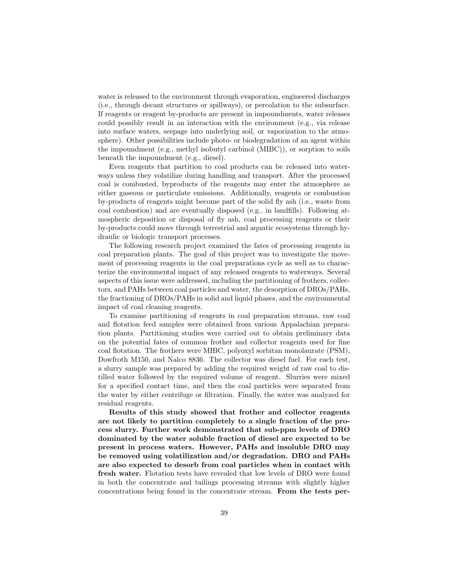water is released to the environment through evaporation, engineered discharges (i.e., through decant structures or spillways), or percolation to the subsurface. If reagents or reagent by-products are present in impoundments, water releases could possibly result in an interaction with the environment (e.g., via release into surface waters, seepage into underlying soil, or vaporization to the atmosphere). Other possibilities include photo- or biodegradation of an agent within the impoundment (e.g., methyl isobutyl carbinol (MIBC)), or sorption to soils beneath the impoundment (e.g., diesel).

Even reagents that partition to coal products can be released into waterways unless they volatilize during handling and transport. After the processed coal is combusted, byproducts of the reagents may enter the atmosphere as either gaseous or particulate emissions. Additionally, reagents or combustion by-products of reagents might become part of the solid fly ash (i.e., waste from coal combustion) and are eventually disposed (e.g., in landfills). Following atmospheric deposition or disposal of fly ash, coal processing reagents or their by-products could move through terrestrial and aquatic ecosystems through hydraulic or biologic transport processes.

The following research project examined the fates of processing reagents in coal preparation plants. The goal of this project was to investigate the movement of processing reagents in the coal preparations cycle as well as to characterize the environmental impact of any released reagents to waterways. Several aspects of this issue were addressed, including the partitioning of frothers, collectors, and PAHs between coal particles and water, the desorption of DROs/PAHs, the fractioning of DROs/PAHs in solid and liquid phases, and the environmental impact of coal cleaning reagents.

To examine partitioning of reagents in coal preparation streams, raw coal and flotation feed samples were obtained from various Appalachian preparation plants. Partitioning studies were carried out to obtain preliminary data on the potential fates of common frother and collector reagents used for fine coal flotation. The frothers were MIBC, polyoxyl sorbitan monolaurate (PSM), Dowfroth M150, and Nalco 8836. The collector was diesel fuel. For each test, a slurry sample was prepared by adding the required weight of raw coal to distilled water followed by the required volume of reagent. Slurries were mixed for a specified contact time, and then the coal particles were separated from the water by either centrifuge or filtration. Finally, the water was analyzed for residual reagents.

Results of this study showed that frother and collector reagents are not likely to partition completely to a single fraction of the process slurry. Further work demonstrated that sub-ppm levels of DRO dominated by the water soluble fraction of diesel are expected to be present in process waters. However, PAHs and insoluble DRO may be removed using volatilization and/or degradation. DRO and PAHs are also expected to desorb from coal particles when in contact with fresh water. Flotation tests have revealed that low levels of DRO were found in both the concentrate and tailings processing streams with slightly higher concentrations being found in the concentrate stream. From the tests per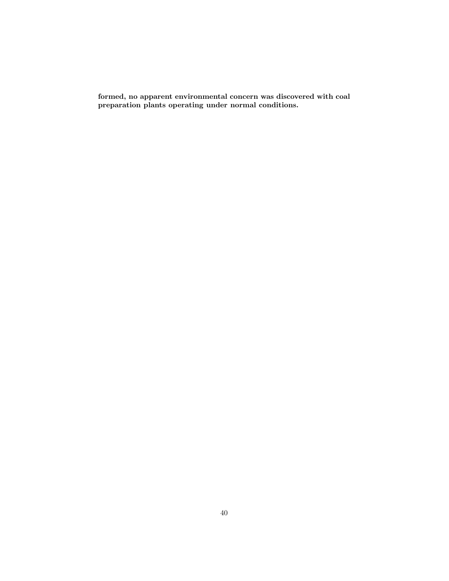formed, no apparent environmental concern was discovered with coal preparation plants operating under normal conditions.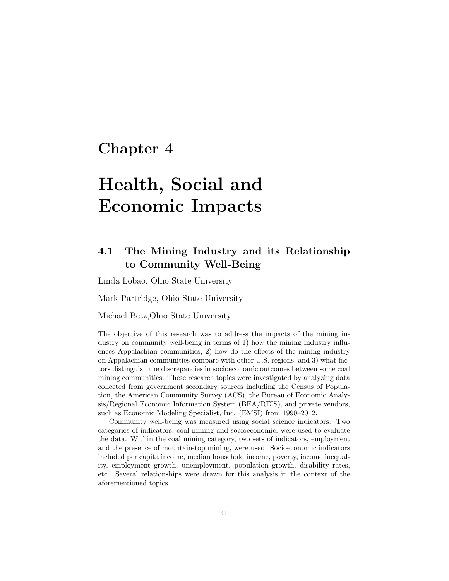# Chapter 4

# Health, Social and Economic Impacts

# 4.1 The Mining Industry and its Relationship to Community Well-Being

Linda Lobao, Ohio State University

Mark Partridge, Ohio State University

Michael Betz,Ohio State University

The objective of this research was to address the impacts of the mining industry on community well-being in terms of 1) how the mining industry influences Appalachian communities, 2) how do the effects of the mining industry on Appalachian communities compare with other U.S. regions, and 3) what factors distinguish the discrepancies in socioeconomic outcomes between some coal mining communities. These research topics were investigated by analyzing data collected from government secondary sources including the Census of Population, the American Community Survey (ACS), the Bureau of Economic Analysis/Regional Economic Information System (BEA/REIS), and private vendors, such as Economic Modeling Specialist, Inc. (EMSI) from 1990–2012.

Community well-being was measured using social science indicators. Two categories of indicators, coal mining and socioeconomic, were used to evaluate the data. Within the coal mining category, two sets of indicators, employment and the presence of mountain-top mining, were used. Socioeconomic indicators included per capita income, median household income, poverty, income inequality, employment growth, unemployment, population growth, disability rates, etc. Several relationships were drawn for this analysis in the context of the aforementioned topics.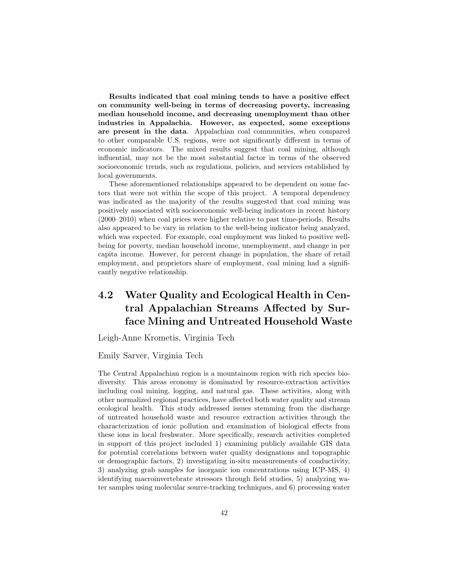Results indicated that coal mining tends to have a positive effect on community well-being in terms of decreasing poverty, increasing median household income, and decreasing unemployment than other industries in Appalachia. However, as expected, some exceptions are present in the data. Appalachian coal communities, when compared to other comparable U.S. regions, were not significantly different in terms of economic indicators. The mixed results suggest that coal mining, although influential, may not be the most substantial factor in terms of the observed socioeconomic trends, such as regulations, policies, and services established by local governments.

These aforementioned relationships appeared to be dependent on some factors that were not within the scope of this project. A temporal dependency was indicated as the majority of the results suggested that coal mining was positively associated with socioeconomic well-being indicators in recent history (2000–2010) when coal prices were higher relative to past time-periods. Results also appeared to be vary in relation to the well-being indicator being analyzed, which was expected. For example, coal employment was linked to positive wellbeing for poverty, median household income, unemployment, and change in per capita income. However, for percent change in population, the share of retail employment, and proprietors share of employment, coal mining had a significantly negative relationship.

# 4.2 Water Quality and Ecological Health in Central Appalachian Streams Affected by Surface Mining and Untreated Household Waste

Leigh-Anne Krometis, Virginia Tech

#### Emily Sarver, Virginia Tech

The Central Appalachian region is a mountainous region with rich species biodiversity. This areas economy is dominated by resource-extraction activities including coal mining, logging, and natural gas. These activities, along with other normalized regional practices, have affected both water quality and stream ecological health. This study addressed issues stemming from the discharge of untreated household waste and resource extraction activities through the characterization of ionic pollution and examination of biological effects from these ions in local freshwater. More specifically, research activities completed in support of this project included 1) examining publicly available GIS data for potential correlations between water quality designations and topographic or demographic factors, 2) investigating in-situ measurements of conductivity, 3) analyzing grab samples for inorganic ion concentrations using ICP-MS, 4) identifying macroinvertebrate stressors through field studies, 5) analyzing water samples using molecular source-tracking techniques, and 6) processing water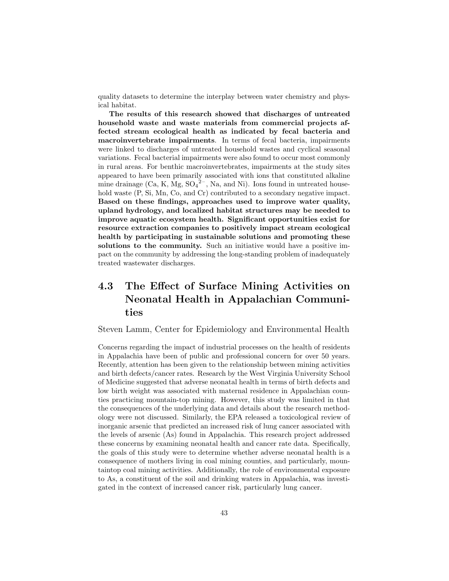quality datasets to determine the interplay between water chemistry and physical habitat.

The results of this research showed that discharges of untreated household waste and waste materials from commercial projects affected stream ecological health as indicated by fecal bacteria and macroinvertebrate impairments. In terms of fecal bacteria, impairments were linked to discharges of untreated household wastes and cyclical seasonal variations. Fecal bacterial impairments were also found to occur most commonly in rural areas. For benthic macroinvertebrates, impairments at the study sites appeared to have been primarily associated with ions that constituted alkaline mine drainage  $(Ca, K, Mg, SO<sub>4</sub><sup>2-</sup>, Na, and Ni)$ . Ions found in untreated household waste  $(P, Si, Mn, Co, and Cr)$  contributed to a secondary negative impact. Based on these findings, approaches used to improve water quality, upland hydrology, and localized habitat structures may be needed to improve aquatic ecosystem health. Significant opportunities exist for resource extraction companies to positively impact stream ecological health by participating in sustainable solutions and promoting these solutions to the community. Such an initiative would have a positive impact on the community by addressing the long-standing problem of inadequately treated wastewater discharges.

# 4.3 The Effect of Surface Mining Activities on Neonatal Health in Appalachian Communities

Steven Lamm, Center for Epidemiology and Environmental Health

Concerns regarding the impact of industrial processes on the health of residents in Appalachia have been of public and professional concern for over 50 years. Recently, attention has been given to the relationship between mining activities and birth defects/cancer rates. Research by the West Virginia University School of Medicine suggested that adverse neonatal health in terms of birth defects and low birth weight was associated with maternal residence in Appalachian counties practicing mountain-top mining. However, this study was limited in that the consequences of the underlying data and details about the research methodology were not discussed. Similarly, the EPA released a toxicological review of inorganic arsenic that predicted an increased risk of lung cancer associated with the levels of arsenic (As) found in Appalachia. This research project addressed these concerns by examining neonatal health and cancer rate data. Specifically, the goals of this study were to determine whether adverse neonatal health is a consequence of mothers living in coal mining counties, and particularly, mountaintop coal mining activities. Additionally, the role of environmental exposure to As, a constituent of the soil and drinking waters in Appalachia, was investigated in the context of increased cancer risk, particularly lung cancer.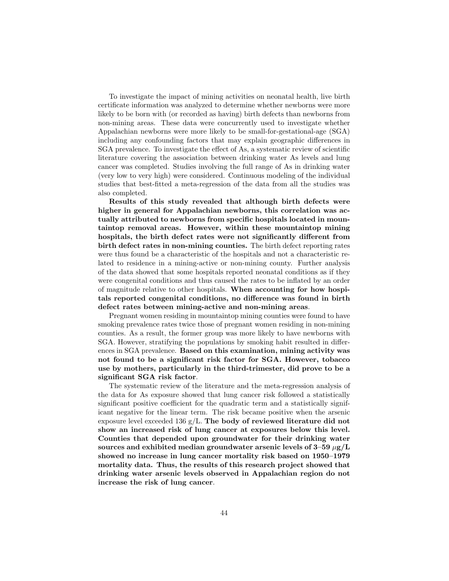To investigate the impact of mining activities on neonatal health, live birth certificate information was analyzed to determine whether newborns were more likely to be born with (or recorded as having) birth defects than newborns from non-mining areas. These data were concurrently used to investigate whether Appalachian newborns were more likely to be small-for-gestational-age (SGA) including any confounding factors that may explain geographic differences in SGA prevalence. To investigate the effect of As, a systematic review of scientific literature covering the association between drinking water As levels and lung cancer was completed. Studies involving the full range of As in drinking water (very low to very high) were considered. Continuous modeling of the individual studies that best-fitted a meta-regression of the data from all the studies was also completed.

Results of this study revealed that although birth defects were higher in general for Appalachian newborns, this correlation was actually attributed to newborns from specific hospitals located in mountaintop removal areas. However, within these mountaintop mining hospitals, the birth defect rates were not significantly different from birth defect rates in non-mining counties. The birth defect reporting rates were thus found be a characteristic of the hospitals and not a characteristic related to residence in a mining-active or non-mining county. Further analysis of the data showed that some hospitals reported neonatal conditions as if they were congenital conditions and thus caused the rates to be inflated by an order of magnitude relative to other hospitals. When accounting for how hospitals reported congenital conditions, no difference was found in birth defect rates between mining-active and non-mining areas.

Pregnant women residing in mountaintop mining counties were found to have smoking prevalence rates twice those of pregnant women residing in non-mining counties. As a result, the former group was more likely to have newborns with SGA. However, stratifying the populations by smoking habit resulted in differences in SGA prevalence. Based on this examination, mining activity was not found to be a significant risk factor for SGA. However, tobacco use by mothers, particularly in the third-trimester, did prove to be a significant SGA risk factor.

The systematic review of the literature and the meta-regression analysis of the data for As exposure showed that lung cancer risk followed a statistically significant positive coefficient for the quadratic term and a statistically significant negative for the linear term. The risk became positive when the arsenic exposure level exceeded 136 g/L. The body of reviewed literature did not show an increased risk of lung cancer at exposures below this level. Counties that depended upon groundwater for their drinking water sources and exhibited median groundwater arsenic levels of  $3-59 \mu g/L$ showed no increase in lung cancer mortality risk based on 1950–1979 mortality data. Thus, the results of this research project showed that drinking water arsenic levels observed in Appalachian region do not increase the risk of lung cancer.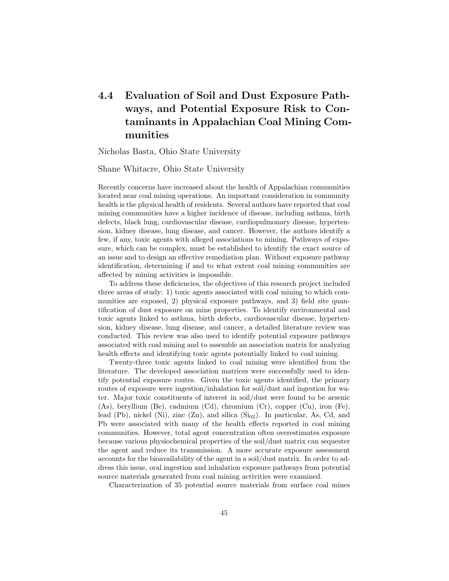# 4.4 Evaluation of Soil and Dust Exposure Pathways, and Potential Exposure Risk to Contaminants in Appalachian Coal Mining Communities

Nicholas Basta, Ohio State University

Shane Whitacre, Ohio State University

Recently concerns have increased about the health of Appalachian communities located near coal mining operations. An important consideration in community health is the physical health of residents. Several authors have reported that coal mining communities have a higher incidence of disease, including asthma, birth defects, black lung, cardiovascular disease, cardiopulmonary disease, hypertension, kidney disease, lung disease, and cancer. However, the authors identify a few, if any, toxic agents with alleged associations to mining. Pathways of exposure, which can be complex, must be established to identify the exact source of an issue and to design an effective remediation plan. Without exposure pathway identification, determining if and to what extent coal mining communities are affected by mining activities is impossible.

To address these deficiencies, the objectives of this research project included three areas of study: 1) toxic agents associated with coal mining to which communities are exposed, 2) physical exposure pathways, and 3) field site quantification of dust exposure on mine properties. To identify environmental and toxic agents linked to asthma, birth defects, cardiovascular disease, hypertension, kidney disease, lung disease, and cancer, a detailed literature review was conducted. This review was also used to identify potential exposure pathways associated with coal mining and to assemble an association matrix for analyzing health effects and identifying toxic agents potentially linked to coal mining.

Twenty-three toxic agents linked to coal mining were identified from the literature. The developed association matrices were successfully used to identify potential exposure routes. Given the toxic agents identified, the primary routes of exposure were ingestion/inhalation for soil/dust and ingestion for water. Major toxic constituents of interest in soil/dust were found to be arsenic (As), beryllium (Be), cadmium (Cd), chromium (Cr), copper (Cu), iron (Fe), lead (Pb), nickel (Ni), zinc  $(Zn)$ , and silica  $(Si_{02})$ . In particular, As, Cd, and Pb were associated with many of the health effects reported in coal mining communities. However, total agent concentration often overestimates exposure because various physiochemical properties of the soil/dust matrix can sequester the agent and reduce its transmission. A more accurate exposure assessment accounts for the bioavailability of the agent in a soil/dust matrix. In order to address this issue, oral ingestion and inhalation exposure pathways from potential source materials generated from coal mining activities were examined.

Characterization of 35 potential source materials from surface coal mines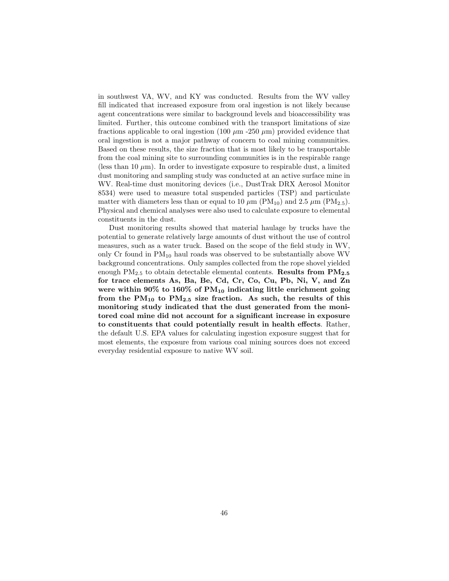in southwest VA, WV, and KY was conducted. Results from the WV valley fill indicated that increased exposure from oral ingestion is not likely because agent concentrations were similar to background levels and bioaccessibility was limited. Further, this outcome combined with the transport limitations of size fractions applicable to oral ingestion (100  $\mu$ m -250  $\mu$ m) provided evidence that oral ingestion is not a major pathway of concern to coal mining communities. Based on these results, the size fraction that is most likely to be transportable from the coal mining site to surrounding communities is in the respirable range (less than 10  $\mu$ m). In order to investigate exposure to respirable dust, a limited dust monitoring and sampling study was conducted at an active surface mine in WV. Real-time dust monitoring devices (i.e., DustTrak DRX Aerosol Monitor 8534) were used to measure total suspended particles (TSP) and particulate matter with diameters less than or equal to 10  $\mu$ m (PM<sub>10</sub>) and 2.5  $\mu$ m (PM<sub>2.5</sub>). Physical and chemical analyses were also used to calculate exposure to elemental constituents in the dust.

Dust monitoring results showed that material haulage by trucks have the potential to generate relatively large amounts of dust without the use of control measures, such as a water truck. Based on the scope of the field study in WV, only Cr found in  $PM_{10}$  haul roads was observed to be substantially above WV background concentrations. Only samples collected from the rope shovel yielded enough  $PM_{2.5}$  to obtain detectable elemental contents. Results from  $PM_{2.5}$ for trace elements As, Ba, Be, Cd, Cr, Co, Cu, Pb, Ni, V, and Zn were within 90% to 160% of  $PM_{10}$  indicating little enrichment going from the  $PM_{10}$  to  $PM_{2.5}$  size fraction. As such, the results of this monitoring study indicated that the dust generated from the monitored coal mine did not account for a significant increase in exposure to constituents that could potentially result in health effects. Rather, the default U.S. EPA values for calculating ingestion exposure suggest that for most elements, the exposure from various coal mining sources does not exceed everyday residential exposure to native WV soil.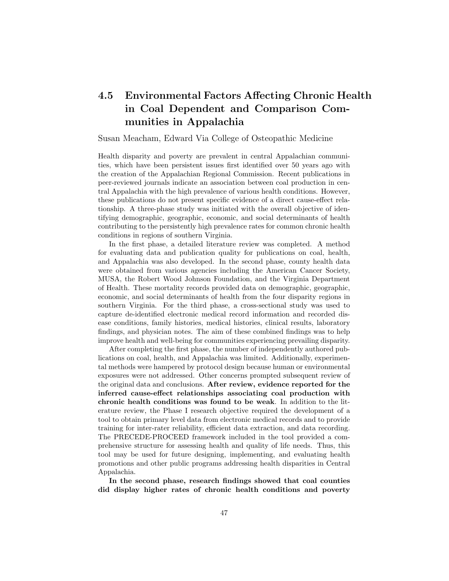# 4.5 Environmental Factors Affecting Chronic Health in Coal Dependent and Comparison Communities in Appalachia

Susan Meacham, Edward Via College of Osteopathic Medicine

Health disparity and poverty are prevalent in central Appalachian communities, which have been persistent issues first identified over 50 years ago with the creation of the Appalachian Regional Commission. Recent publications in peer-reviewed journals indicate an association between coal production in central Appalachia with the high prevalence of various health conditions. However, these publications do not present specific evidence of a direct cause-effect relationship. A three-phase study was initiated with the overall objective of identifying demographic, geographic, economic, and social determinants of health contributing to the persistently high prevalence rates for common chronic health conditions in regions of southern Virginia.

In the first phase, a detailed literature review was completed. A method for evaluating data and publication quality for publications on coal, health, and Appalachia was also developed. In the second phase, county health data were obtained from various agencies including the American Cancer Society, MUSA, the Robert Wood Johnson Foundation, and the Virginia Department of Health. These mortality records provided data on demographic, geographic, economic, and social determinants of health from the four disparity regions in southern Virginia. For the third phase, a cross-sectional study was used to capture de-identified electronic medical record information and recorded disease conditions, family histories, medical histories, clinical results, laboratory findings, and physician notes. The aim of these combined findings was to help improve health and well-being for communities experiencing prevailing disparity.

After completing the first phase, the number of independently authored publications on coal, health, and Appalachia was limited. Additionally, experimental methods were hampered by protocol design because human or environmental exposures were not addressed. Other concerns prompted subsequent review of the original data and conclusions. After review, evidence reported for the inferred cause-effect relationships associating coal production with chronic health conditions was found to be weak. In addition to the literature review, the Phase I research objective required the development of a tool to obtain primary level data from electronic medical records and to provide training for inter-rater reliability, efficient data extraction, and data recording. The PRECEDE-PROCEED framework included in the tool provided a comprehensive structure for assessing health and quality of life needs. Thus, this tool may be used for future designing, implementing, and evaluating health promotions and other public programs addressing health disparities in Central Appalachia.

In the second phase, research findings showed that coal counties did display higher rates of chronic health conditions and poverty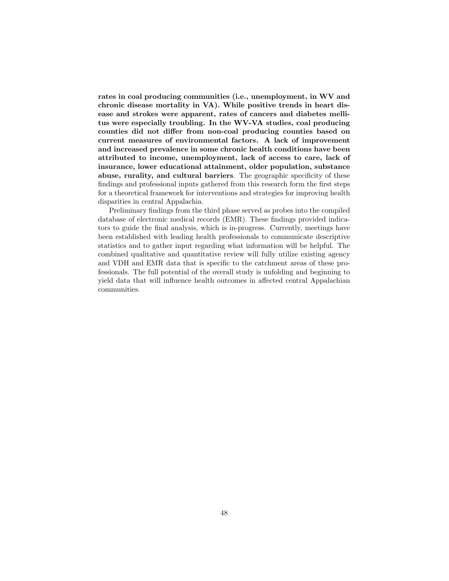rates in coal producing communities (i.e., unemployment, in WV and chronic disease mortality in VA). While positive trends in heart disease and strokes were apparent, rates of cancers and diabetes mellitus were especially troubling. In the WV-VA studies, coal producing counties did not differ from non-coal producing counties based on current measures of environmental factors. A lack of improvement and increased prevalence in some chronic health conditions have been attributed to income, unemployment, lack of access to care, lack of insurance, lower educational attainment, older population, substance abuse, rurality, and cultural barriers. The geographic specificity of these findings and professional inputs gathered from this research form the first steps for a theoretical framework for interventions and strategies for improving health disparities in central Appalachia.

Preliminary findings from the third phase served as probes into the compiled database of electronic medical records (EMR). These findings provided indicators to guide the final analysis, which is in-progress. Currently, meetings have been established with leading health professionals to communicate descriptive statistics and to gather input regarding what information will be helpful. The combined qualitative and quantitative review will fully utilize existing agency and VDH and EMR data that is specific to the catchment areas of these professionals. The full potential of the overall study is unfolding and beginning to yield data that will influence health outcomes in affected central Appalachian communities.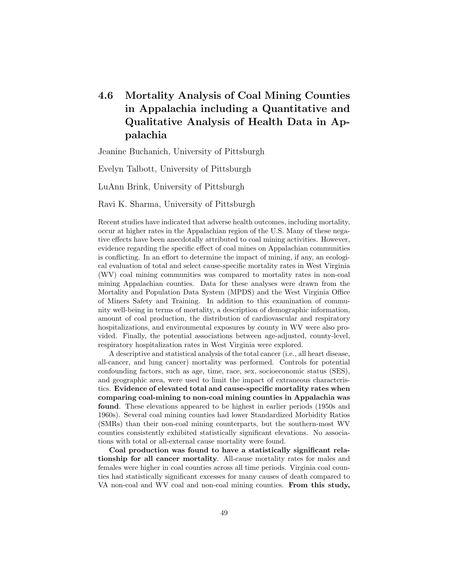# 4.6 Mortality Analysis of Coal Mining Counties in Appalachia including a Quantitative and Qualitative Analysis of Health Data in Appalachia

Jeanine Buchanich, University of Pittsburgh

Evelyn Talbott, University of Pittsburgh

LuAnn Brink, University of Pittsburgh

Ravi K. Sharma, University of Pittsburgh

Recent studies have indicated that adverse health outcomes, including mortality, occur at higher rates in the Appalachian region of the U.S. Many of these negative effects have been anecdotally attributed to coal mining activities. However, evidence regarding the specific effect of coal mines on Appalachian communities is conflicting. In an effort to determine the impact of mining, if any, an ecological evaluation of total and select cause-specific mortality rates in West Virginia (WV) coal mining communities was compared to mortality rates in non-coal mining Appalachian counties. Data for these analyses were drawn from the Mortality and Population Data System (MPDS) and the West Virginia Office of Miners Safety and Training. In addition to this examination of community well-being in terms of mortality, a description of demographic information, amount of coal production, the distribution of cardiovascular and respiratory hospitalizations, and environmental exposures by county in WV were also provided. Finally, the potential associations between age-adjusted, county-level, respiratory hospitalization rates in West Virginia were explored.

A descriptive and statistical analysis of the total cancer (i.e., all heart disease, all-cancer, and lung cancer) mortality was performed. Controls for potential confounding factors, such as age, time, race, sex, socioeconomic status (SES), and geographic area, were used to limit the impact of extraneous characteristics. Evidence of elevated total and cause-specific mortality rates when comparing coal-mining to non-coal mining counties in Appalachia was found. These elevations appeared to be highest in earlier periods (1950s and 1960s). Several coal mining counties had lower Standardized Morbidity Ratios (SMRs) than their non-coal mining counterparts, but the southern-most WV counties consistently exhibited statistically significant elevations. No associations with total or all-external cause mortality were found.

Coal production was found to have a statistically significant relationship for all cancer mortality. All-cause mortality rates for males and females were higher in coal counties across all time periods. Virginia coal counties had statistically significant excesses for many causes of death compared to VA non-coal and WV coal and non-coal mining counties. From this study,